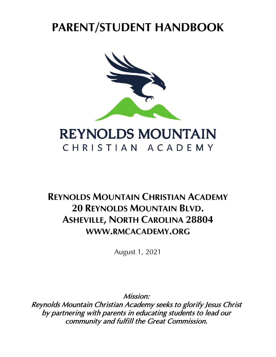# **PARENT/STUDENT HANDBOOK**



# **REYNOLDS MOUNTAIN** CHRISTIAN ACADEMY

# **REYNOLDS MOUNTAIN CHRISTIAN ACADEMY 20 REYNOLDS MOUNTAIN BLVD. ASHEVILLE, NORTH CAROLINA 28804 WWW.RMCACADEMY.ORG**

August 1, 2021

Mission:

Reynolds Mountain Christian Academy seeks to glorify Jesus Christ by partnering with parents in educating students to lead our community and fulfill the Great Commission.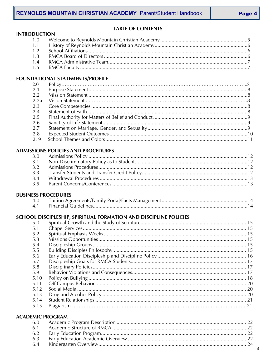# **TABLE OF CONTENTS**

| <b>INTRODUCTION</b> |
|---------------------|
|---------------------|

# FOUNDATIONAL STATEMENTS/PROFILE

| 2.0  |  |
|------|--|
| 2.1  |  |
| 22   |  |
| 2.2a |  |
| 2.3  |  |
| 2.4  |  |
| 2.5  |  |
| -2.6 |  |
| 2.7  |  |
| 2.8  |  |
| 2.9  |  |

#### **ADMISSIONS POLICIES AND PROCEDURES**

#### **BUSINESS PROCEDURES**

| 4.0 |  |  |
|-----|--|--|
|     |  |  |

# SCHOOL DISCIPLESHIP, SPIRITUAL FORMATION AND DISCIPLINE POLICIES

| 5.0  |  |
|------|--|
| 5.1  |  |
| 5.2  |  |
| 5.3  |  |
| 5.4  |  |
| 5.5  |  |
| 5.6  |  |
| 5.7  |  |
| 5.8  |  |
| 5.9  |  |
| 5.10 |  |
| 5.11 |  |
| 5.12 |  |
| 5.13 |  |
| 5.14 |  |
| 5.15 |  |
|      |  |

#### **ACADEMIC PROGRAM**

| 6.3 |  |
|-----|--|
|     |  |
|     |  |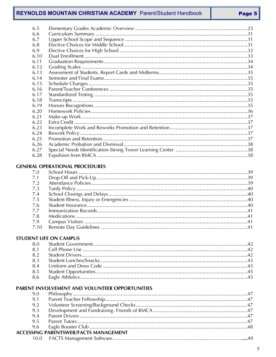# **REYNOLDS MOUNTAIN CHRISTIAN ACADEMY** Parent/Student Handbook

| 6.5  |  |
|------|--|
| 6.6  |  |
| 6.7  |  |
| 6.8  |  |
| 6.9  |  |
| 6.10 |  |
| 6.11 |  |
| 6.12 |  |
| 6.13 |  |
| 6.14 |  |
| 6.15 |  |
| 6.16 |  |
| 6.17 |  |
| 6.18 |  |
| 6.19 |  |
| 6.20 |  |
| 6.21 |  |
| 6.22 |  |
| 6.23 |  |
| 6.24 |  |
| 6.25 |  |
| 6.26 |  |
| 6.27 |  |
| 6.28 |  |
|      |  |
|      |  |

#### **GENERAL OPERATIONAL PROCEDURES**

| 7.1 |  |
|-----|--|
| 7.2 |  |
| 7.3 |  |
| 7.4 |  |
| 7.5 |  |
| 7.6 |  |
| 7.7 |  |
| 7.8 |  |
| 7.9 |  |
|     |  |
|     |  |

# **STUDENT LIFE ON CAMPUS**

# PARENT INVOLVEMENT AND VOLUNTEER OPPORTUNITIES

| 9.1 |                                              |  |
|-----|----------------------------------------------|--|
| 9.2 |                                              |  |
| 9.3 |                                              |  |
| 9.4 |                                              |  |
| 95  |                                              |  |
|     |                                              |  |
|     | <b>ACCESSING PARENTSWEB/FACTS MANAGEMENT</b> |  |
|     |                                              |  |
|     |                                              |  |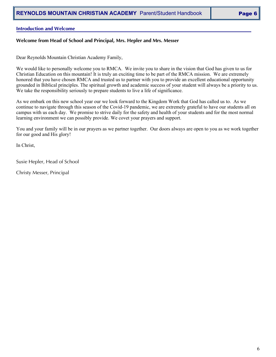#### **Introduction and Welcome**

#### **Welcome from Head of School and Principal, Mrs. Hepler and Mrs. Messer**

Dear Reynolds Mountain Christian Academy Family,

We would like to personally welcome you to RMCA. We invite you to share in the vision that God has given to us for Christian Education on this mountain! It is truly an exciting time to be part of the RMCA mission. We are extremely honored that you have chosen RMCA and trusted us to partner with you to provide an excellent educational opportunity grounded in Biblical principles. The spiritual growth and academic success of your student will always be a priority to us. We take the responsibility seriously to prepare students to live a life of significance.

As we embark on this new school year our we look forward to the Kingdom Work that God has called us to. As we continue to navigate through this season of the Covid-19 pandemic, we are extremely grateful to have our students all on campus with us each day. We promise to strive daily for the safety and health of your students and for the most normal learning environment we can possibly provide. We covet your prayers and support.

You and your family will be in our prayers as we partner together. Our doors always are open to you as we work together for our good and His glory!

In Christ,

Susie Hepler, Head of School

Christy Messer, Principal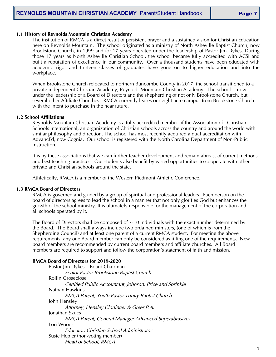#### **1.1 History of Reynolds Mountain Christian Academy**

The institution of RMCA is a direct result of persistent prayer and a sustained vision for Christian Education here on Reynolds Mountain. The school originated as a ministry of North Asheville Baptist Church, now Brookstone Church, in 1999 and for 17 years operated under the leadership of Pastor Jim Dykes. During those 17 years as North Asheville Christian School, the school became fully accredited with ACSI and built a reputation of excellence in our community. Over a thousand students have been educated with academic rigor and thirteen classes of graduates have gone on to higher education and into the workplace.

When Brookstone Church relocated to northern Buncombe County in 2017, the school transitioned to a private independent Christian Academy, Reynolds Mountain Christian Academy. The school is now under the leadership of a Board of Directors and the shepherding of not only Brookstone Church, but several other Affiliate Churches. RMCA currently leases our eight acre campus from Brookstone Church with the intent to purchase in the near future.

#### **1.2 School Affiliations**

Reynolds Mountain Christian Academy is a fully accredited member of the Association of Christian Schools International, an organization of Christian schools across the country and around the world with similar philosophy and direction. The school has most recently acquired a dual accreditation with AdvancEd, now Cognia. Our school is registered with the North Carolina Department of Non-Public Instruction.

It is by these associations that we can further teacher development and remain abreast of current methods and best teaching practices. Our students also benefit by varied opportunities to cooperate with other private and Christian schools around the state.

Athletically, RMCA is a member of the Western Piedmont Athletic Conference.

#### **1.3 RMCA Board of Directors**

RMCA is governed and guided by a group of spiritual and professional leaders. Each person on the board of directors agrees to lead the school in a manner that not only glorifies God but enhances the growth of the school ministry. It is ultimately responsible for the management of the corporation and all schools operated by it.

The Board of Directors shall be composed of 7-10 individuals with the exact number determined by the Board. The Board shall always include two ordained ministers, (one of which is from the Shepherding Council) and at least one parent of a current RMCA student. For meeting the above requirements, any one Board member can only be considered as filling one of the requirements. New board members are recommended by current board members and affiliate churches. All Board members are required to support and follow the corporation's statement of faith and mission.

#### **RMCA Board of Directors for 2019-2020**

Pastor Jim Dykes – Board Chairman *Senior Pastor Brookstone Baptist Church* Rollin Groseclose *Certified Public Accountant, Johnson, Price and Sprinkle*  Nathan Hawkins *RMCA Parent, Youth Pastor Trinity Baptist Church*  John Hensley *Attorney, Hensley Cloninger & Greer P.A.* Jonathan Szucs *RMCA Parent, General Manager Advanced Superabrasives* Lori Woods *Educator, Christian School Administrator* Susie Hepler (non-voting member) *Head of School, RMCA*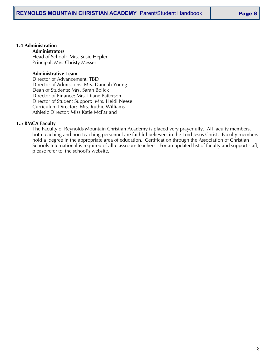#### **1.4 Administration**

**Administrators** Head of School: Mrs. Susie Hepler Principal: Mrs. Christy Messer

#### **Administrative Team**

Director of Advancement: TBD Director of Admissions: Mrs. Dannah Young Dean of Students: Mrs. Sarah Bolick Director of Finance: Mrs. Diane Patterson Director of Student Support: Mrs. Heidi Neese Curriculum Director: Mrs. Ruthie Williams Athletic Director: Miss Katie McFarland

#### **1.5 RMCA Faculty**

The Faculty of Reynolds Mountain Christian Academy is placed very prayerfully. All faculty members, both teaching and non-teaching personnel are faithful believers in the Lord Jesus Christ. Faculty members hold a degree in the appropriate area of education. Certification through the Association of Christian Schools International is required of all classroom teachers. For an updated list of faculty and support staff, please refer to the school's website.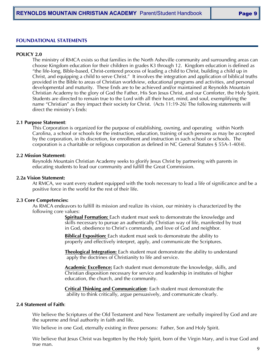#### **FOUNDATIONAL STATEMENTS**

#### **POLICY 2.0**

The ministry of RMCA exists so that families in the North Asheville community and surrounding areas can choose Kingdom education for their children in grades K3 through 12. Kingdom education is defined as "the life-long, Bible-based, Christ-centered process of leading a child to Christ, building a child up in Christ, and equipping a child to serve Christ." It involves the integration and application of biblical truths provided in the Bible to areas of Christian worldview, educational programs and activities, and personal developmental and maturity. These Ends are to be achieved and/or maintained at Reynolds Mountain Christian Academy to the glory of God the Father, His Son Jesus Christ, and our Comforter, the Holy Spirit. Students are directed to remain true to the Lord with all their heart, mind, and soul, exemplifying the name "Christian" as they impact their society for Christ. (Acts 11:19-26) The following statements will direct the ministry's Ends:

#### **2.1 Purpose Statement**:

This Corporation is organized for the purpose of establishing, owning, and operating within North Carolina, a school or schools for the instruction, education, training of such persons as may be accepted by the corporation, in its discretion, for enrollment and instruction in such school or schools. The corporation is a charitable or religious corporation as defined in NC General Statutes § 55A-1-40(4).

#### **2.2 Mission Statement:**

Reynolds Mountain Christian Academy seeks to glorify Jesus Christ by partnering with parents in educating students to lead our community and fulfill the Great Commission.

#### **2.2a Vision Statement:**

At RMCA, we want every student equipped with the tools necessary to lead a life of significance and be a positive force in the world for the rest of their life.

#### **2.3 Core Competencies:**

As RMCA endeavors to fulfill its mission and realize its vision, our ministry is characterized by the following core values:

**Spiritual Formation:** Each student must seek to demonstrate the knowledge and skills necessary to pursue an authentically Christian way of life, manifested by trust in God, obedience to Christ's commands, and love of God and neighbor.

**Biblical Exposition:** Each student must seek to demonstrate the ability to properly and effectively interpret, apply, and communicate the Scriptures.

**Theological Integration:** Each student must demonstrate the ability to understand apply the doctrines of Christianity to life and service.

**Academic Excellence:** Each student must demonstrate the knowledge, skills, and Christian disposition necessary for service and leadership in institutes of higher education, the church, and the community.

**Critical Thinking and Communication**: Each student must demonstrate the ability to think critically, argue persuasively, and communicate clearly.

#### **2.4 Statement of Faith**:

We believe the Scriptures of the Old Testament and New Testament are verbally inspired by God and are the supreme and final authority in faith and life.

We believe in one God, eternally existing in three persons: Father, Son and Holy Spirit.

We believe that Jesus Christ was begotten by the Holy Spirit, born of the Virgin Mary, and is true God and true man.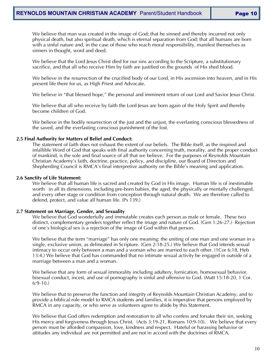We believe that man was created in the image of God; that he sinned and thereby incurred not only physical death, but also spiritual death, which is eternal separation from God; that all humans are born with a sinful nature and, in the case of those who reach moral responsibility, manifest themselves as sinners in thought, word and deed.

We believe that the Lord Jesus Christ died for our sins according to the Scripture, a substitutionary sacrifice, and that all who receive Him by faith are justified on the grounds of His shed blood.

We believe in the resurrection of the crucified body of our Lord, in His ascension into heaven, and in His present life there for us, as High Priest and Advocate.

We believe in "that blessed hope," the personal and imminent return of our Lord and Savior Jesus Christ.

We believe that all who receive by faith the Lord Jesus are born again of the Holy Spirit and thereby become children of God.

We believe in the bodily resurrection of the just and the unjust, the everlasting conscious blessedness of the saved, and the everlasting conscious punishment of the lost.

#### **2.5 Final Authority for Matters of Belief and Conduct:**

The statement of faith does not exhaust the extent of our beliefs. The Bible itself, as the inspired and infallible Word of God that speaks with final authority concerning truth, morality, and the proper conduct of mankind, is the sole and final source of all that we believe. For the purposes of Reynolds Mountain Christian Academy's faith, doctrine, practice, policy, and discipline, our Board of Directors and Shepherding Council is RMCA's final interpretive authority on the Bible's meaning and application.

#### **2.6 Sanctity of Life Statement:**

We believe that all human life is sacred and created by God in His image. Human life is of inestimable worth in all its dimensions, including pre-born babies, the aged, the physically or mentally challenged, and every other stage or condition from conception through natural death. We are therefore called to defend, protect, and value all human life. (Ps 139.)

#### **2.7 Statement on Marriage, Gender, and Sexuality**

We believe that God wonderfully and immutable creates each person as male or female. These two distinct, complementary genders together reflect the image and nature of God. (Gen 1:26-27.) Rejection of one's biological sex is a rejection of the image of God within that person.

We believe that the term "marriage" has only one meaning: the uniting of one man and one woman in a single, exclusive union, as delineated in Scripture. (Gen 2:18-25.) We believe that God intends sexual intimacy to occur only between a man and a woman who are married to each other. (1Cor 6:18, Heb 13:4.) We believe that God has commanded that no intimate sexual activity be engaged in outside of a marriage between a man and a woman.

We believe that any form of sexual immorality including adultery, fornication, homosexual behavior, bisexual conduct, incest, and use of pornography is sinful and offensive to God. (Matt 15:18-20, 1 Cor. 6:9-10.)

We believe that to preserve the function and integrity of Reynolds Mountain Christian Academy, and to provide a biblical role model to RMCA students and families, it is imperative that persons employed by RMCA in any capacity, or who serve as volunteers agree to abide by this Statement.

We believe that God offers redemption and restoration to all who confess and forsake their sin, seeking His mercy and forgiveness through Jesus Christ. (Acts 3:19-21, Romans 10:9-10). We believe that every person must be afforded compassion, love, kindness and respect. Hateful or harassing behavior or attitudes any individual are not permitted and are not in accord with the doctrines of RMCA.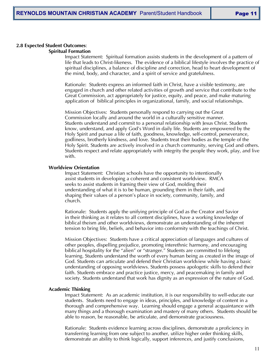# **2.8 Expected Student Outcomes**:

# **Spiritual Formation**

Impact Statement: Spiritual formation assists students in the development of a pattern of life that leads to Christ-likeness. The evidence of a biblical lifestyle involves the practice of spiritual disciplines, a balance of discipline and correction, head to heart development of the mind, body, and character, and a spirit of service and gratefulness.

Rationale: Students express an informed faith in Christ, have a visible testimony, are engaged in church and other related activities of growth and service that contribute to the Great Commission, act appropriately for justice, equity, and peace, and make maturing application of biblical principles in organizational, family, and social relationships.

Mission Objectives:Students personally respond to carrying out the Great Commission locally and around the world in a culturally sensitive manner. Students understand and commit to a personal relationship with Jesus Christ. Students know, understand, and apply God's Word in daily life. Students are empowered by the Holy Spirit and pursue a life of faith, goodness, knowledge, self-control, perseverance, godliness, brotherly kindness, and love. Students treat their bodies as the temple of the Holy Spirit. Students are actively involved in a church community, serving God and others. Students respect and relate appropriately with integrity the people they work, play, and live with.

#### **Worldview Orientation**

Impact Statement: Christian schools have the opportunity to intentionally assist students in developing a coherent and consistent worldview. RMCA seeks to assist students in framing their view of God, molding their understanding of what it is to be human, grounding them in their faith, and shaping their values of a person's place in society, community, family, and church.

Rationale: Students apply the unifying principle of God as the Creator and Savior in their thinking as it relates to all content disciplines, have a working knowledge of biblical theism and other worldviews, demonstrate an understanding of the inherent tension to bring life, beliefs, and behavior into conformity with the teachings of Christ.

Mission Objectives: Students have a critical appreciation of languages and cultures of other peoples, dispelling prejudice, promoting interethnic harmony, and encouraging biblical hospitality for the "alien" or "stranger." Students are committed to lifelong learning. Students understand the worth of every human being as created in the image of God. Students can articulate and defend their Christian worldview while having a basic understanding of opposing worldviews. Students possess apologetic skills to defend their faith. Students embrace and practice justice, mercy, and peacemaking in family and society. Students understand that work has dignity as an expression of the nature of God.

#### **Academic Thinking**

Impact Statement: As an academic institution, it is our responsibility to well-educate our students. Students need to engage in ideas, principles, and knowledge of content in a thorough and comprehensive way. Learning should engage a general acquaintance with many things and a thorough examination and mastery of many others. Students should be able to reason, be reasonable, be articulate, and demonstrate graciousness.

Rationale: Students evidence learning across disciplines, demonstrate a proficiency in transferring learning from one subject to another, utilize higher order thinking skills, demonstrate an ability to think logically, support inferences, and justify conclusions,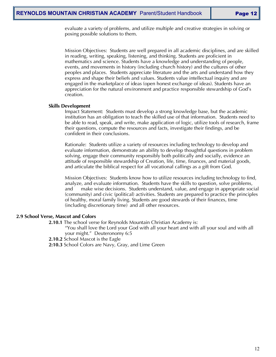evaluate a variety of problems, and utilize multiple and creative strategies in solving or posing possible solutions to them.

Mission Objectives:Students are well prepared in all academic disciplines, and are skilled in reading, writing, speaking, listening, and thinking. Students are proficient in mathematics and science. Students have a knowledge and understanding of people, events, and movements in history (including church history) and the cultures of other peoples and places. Students appreciate literature and the arts and understand how they express and shape their beliefs and values. Students value intellectual inquiry and are engaged in the marketplace of ideas (open honest exchange of ideas). Students have an appreciation for the natural environment and practice responsible stewardship of God's creation.

#### **Skills Development**

Impact Statement: Students must develop a strong knowledge base, but the academic institution has an obligation to teach the skilled use of that information. Students need to be able to read, speak, and write, make application of logic, utilize tools of research, frame their questions, compute the resources and facts, investigate their findings, and be confident in their conclusions.

Rationale:Students utilize a variety of resources including technology to develop and evaluate information, demonstrate an ability to develop thoughtful questions in problem solving, engage their community responsibly both politically and socially, evidence an attitude of responsible stewardship of Creation, life, time, finances, and material goods, and articulate the biblical respect for all vocational callings as a gift from God.

Mission Objectives:Students know how to utilize resources including technology to find, analyze, and evaluate information. Students have the skills to question, solve problems, and make wise decisions. Students understand, value, and engage in appropriate social (community) and civic (political) activities. Students are prepared to practice the principles of healthy, moral family living. Students are good stewards of their finances, time (including discretionary time) and all other resources.

#### **2.9 School Verse, Mascot and Colors**

**2.10.1** The school verse for Reynolds Mountain Christian Academy is:

"You shall love the Lord your God with all your heart and with all your soul and with all your might." Deuteronomy 6:5

**2.10.2** School Mascot is the Eagle

**2:10.3** School Colors are Navy, Gray, and Lime Green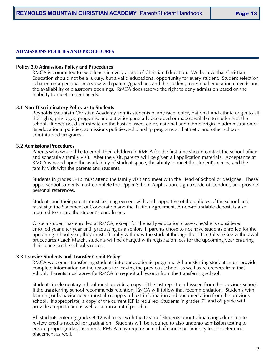#### **ADMISSIONS POLICIES AND PROCEDURES**

#### **Policy 3.0 Admissions Policy and Procedures**

RMCA is committed to excellence in every aspect of Christian Education. We believe that Christian Education should not be a luxury, but a valid educational opportunity for every student. Student selection is based on a personal interview with parents/guardians and the student, individual educational needs and the availability of classroom openings. RMCA does reserve the right to deny admission based on the inability to meet student needs.

#### **3.1 Non-Discriminatory Policy as to Students**

Reynolds Mountain Christian Academy admits students of any race, color, national and ethnic origin to all the rights, privileges, programs, and activities generally accorded or made available to students at the school. It does not discriminate on the basis of race, color, national and ethnic origin in administration of its educational policies, admissions policies, scholarship programs and athletic and other schooladministered programs.

#### **3.2 Admissions Procedures**

Parents who would like to enroll their children in RMCA for the first time should contact the school office and schedule a family visit. After the visit, parents will be given all application materials. Acceptance at RMCA is based upon the availability of student space, the ability to meet the student's needs, and the family visit with the parents and students.

Students in grades 7-12 must attend the family visit and meet with the Head of School or designee. These upper school students must complete the Upper School Application, sign a Code of Conduct, and provide personal references.

Students and their parents must be in agreement with and supportive of the policies of the school and must sign the Statement of Cooperation and the Tuition Agreement. A non-refundable deposit is also required to ensure the student's enrollment.

Once a student has enrolled at RMCA, except for the early education classes, he/she is considered enrolled year after year until graduating as a senior. If parents chose to not have students enrolled for the upcoming school year, they must officially withdraw the student through the office (please see withdrawal procedures.) Each March, students will be charged with registration fees for the upcoming year ensuring their place on the school's roster.

#### **3.3 Transfer Students and Transfer Credit Policy**

RMCA welcomes transferring students into our academic program. All transferring students must provide complete information on the reasons for leaving the previous school, as well as references from that school. Parents must agree for RMCA to request all records from the transferring school.

Students in elementary school must provide a copy of the last report card issued from the previous school. If the transferring school recommends retention, RMCA will follow that recommendation. Students with learning or behavior needs must also supply all test information and documentation from the previous school. If appropriate, a copy of the current IEP is required. Students in grades  $7<sup>th</sup>$  and  $8<sup>th</sup>$  grade will provide a report card as well as a transcript if possible.

All students entering grades 9-12 will meet with the Dean of Students prior to finalizing admission to review credits needed for graduation. Students will be required to also undergo admission testing to ensure proper grade placement. RMCA may require an end of course proficiency test to determine placement as well.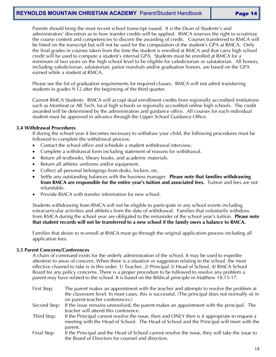# **REYNOLDS MOUNTAIN CHRISTIAN ACADEMY** Parent/Student Handbook **Page 14**

Parents should bring the most recent school transcript issued. It is the Dean of Students's and administrators' discretion as to how transfer credits will be applied. RMCA reserves the right to scrutinize the course content and competencies to discern the awarding of credit. Courses transferred to RMCA will be listed on the transcript but will not be used for the computation of the student's GPA at RMCA. Only the final grades in courses taken from the time the student is enrolled at RMCA and that carry high school credit will be used to compute a student's internal GPA. Students must be enrolled at RMCA for a minimum of two years on the high school level to be eligible for valedictorian or salutatorian. All honors, including valedictorian, salutatorian, junior marshals and/or graduation honors, are based on the GPA earned while a student at RMCA.

Please see the list of graduation requirements for required classes. RMCA will not admit transferring students in grades 9-12 after the beginning of the third quarter.

Current RMCA Students: RMCA will accept dual enrollment credits from regionally accredited institutions such as Montreat or AB Tech, local high schools or regionally accredited online high schools. The credit awarded will be determined by the administration and guidance office. All courses for each individual student must be approved in advance through the Upper School Guidance Office.

#### **3.4 Withdrawal Procedures**

If during the school year it becomes necessary to withdraw your child, the following procedures must be followed to complete the withdrawal process:

- Contact the school office and schedule a student withdrawal interview.
- Complete a withdrawal form including statement of reasons for withdrawal.
- Return all textbooks, library books, and academic materials.
- Return all athletic uniforms and/or equipment.
- Collect all personal belongings from desks, lockers, etc.
- Settle any outstanding balances with the business manager. **Please note that families withdrawing from RMCA are responsible for the entire year's tuition and associated fees.** Tuition and fees are not refundable.
- Provide RMCA with transfer information for new school.

Students withdrawing from RMCA will not be eligible to participate in any school events including extracurricular activities and athletics from the date of withdrawal. Families that voluntarily withdraw from RMCA during the school year are obligated to the remainder of the school year's tuition. **Please note that student records will not be transferred to a new school if the family owes a balance to RMCA.**

Families that desire to re-enroll at RMCA must go through the original application process including all application fees.

#### **3.5 Parent Concerns/Conferences**

A chain of command exists for the orderly administration of the school. It may be used to expedite attention to areas of concern. When there is a situation or suggestion relating to the school, the most effective channel to take is in this order: 1) Teacher, 2) Principal 3) Head of School, 4) RMCA School Board for any policy concerns. There is a proper procedure to be followed to resolve any problem a parent may have related to the school. It is based on the Biblical principle in Matthew 18:15-17.

- First Step: The parent makes an appointment with the teacher and attempts to resolve the problem at the classroom level. In most cases, this is successful. (The principal does not normally sit in on parent-teacher conferences.)
- Second Step: If the issue remains unresolved, the parent makes an appointment with the principal. The teacher will attend this conference.
- Third Step: If the Principal cannot resolve the issue, then and ONLY then is it appropriate to request a meeting with the Head of School. The Head of School and the Principal will meet with the parent.
- Final Step: If the Principal and the Head of School cannot resolve the issue, they will take the issue to the Board of Directors for counsel and direction.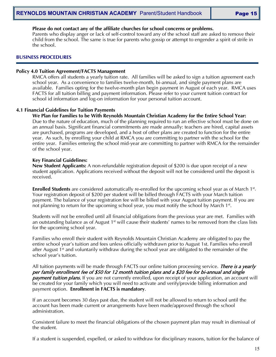#### **Please do not contact any of the affiliate churches for school concerns or problems.**

Parents who display anger or lack of self-control toward any of the school staff are asked to remove their child from the school. The same is true for parents who gossip or attempt to engender a spirit of strife in the school.

#### **BUSINESS PROCEDURES**

#### **Policy 4.0 Tuition Agreement/FACTS Management**

RMCA offers all students a yearly tuition rate. All families will be asked to sign a tuition agreement each school year. As a convenience to families twelve-month, bi-annual, and single payment plans are available. Families opting for the twelve-month plan begin payment in August of each year. RMCA uses FACTS for all tuition billing and payment information. Please refer to your current tuition contract for school id information and log-on information for your personal tuition account.

#### **4.1 Financial Guidelines for Tuition Payments**

**We Plan for Families to be With Reynolds Mountain Christian Academy for the Entire School Year:** Due to the nature of education, much of the planning required to run an effective school must be done on an annual basis. Significant financial commitments are made annually: teachers are hired, capital assets are purchased, programs are developed, and a host of other plans are created to function for the entire year. As such, by enrolling your child at RMCA you are committing to partner with the school for the entire year. Families entering the school mid-year are committing to partner with RMCA for the remainder of the school year.

#### **Key Financial Guidelines:**

**New Student Applicants:** A non-refundable registration deposit of \$200 is due upon receipt of a new student application. Applications received without the deposit will not be considered until the deposit is received.

**Enrolled Students** are considered automatically re-enrolled for the upcoming school year as of March 1<sup>st</sup>. Your registration deposit of \$200 per student will be billed through FACTS with your March tuition payment. The balance of your registration fee will be billed with your August tuition payment. If you are not planning to return for the upcoming school year, you must notify the school by March 1<sup>st</sup>.

Students will not be enrolled until all financial obligations from the previous year are met. Families with an outstanding balance as of August  $1<sup>st</sup>$  will cause their students' names to be removed from the class lists for the upcoming school year.

Families who enroll their student with Reynolds Mountain Christian Academy are obligated to pay the entire school year's tuition and fees unless officially withdrawn prior to August 1st. Families who enroll after August  $1<sup>st</sup>$  and voluntarily withdraw during the school year are obligated to the remainder of the school year's tuition.

All tuition payments will be made through FACTS our online tuition processing service. *There is a yearly* per family enrollment fee of \$50 for 12 month tuition plans and a \$20 fee for bi-annual and single **payment tuition plans.** If you are not currently enrolled, upon receipt of your application, an account will be created for your family which you will need to activate and verify/provide billing information and payment option. **Enrollment in FACTS is mandatory**.

If an account becomes 30 days past due, the student will not be allowed to return to school until the account has been made current or arrangements have been made/approved through the school administration.

Consistent failure to meet the financial obligations of the chosen payment plan may result in dismissal of the student.

If a student is suspended, expelled, or asked to withdraw for disciplinary reasons, tuition for the balance of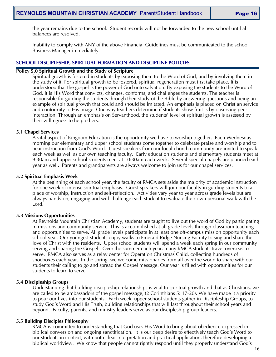the year remains due to the school. Student records will not be forwarded to the new school until all balances are resolved.

Inability to comply with ANY of the above Financial Guidelines must be communicated to the school Business Manager immediately.

#### **SCHOOL DISCIPLESHIP, SPIRITUAL FORMATION AND DISCIPLINE POLICIES**

#### **Policy 5.0 Spiritual Growth and the Study of Scripture**

Spiritual growth is fostered in students by exposing them to the Word of God, and by involving them in the study of it. For spiritual growth to be fostered, spiritual regeneration must first take place. It is understood that the gospel is the power of God unto salvation. By exposing the students to the Word of God, it is His Word that convicts, changes, conforms, and challenges the students. The teacher is responsible for guiding the students through their study of the Bible by answering questions and being an example of spiritual growth that could and should be imitated. An emphasis is placed on Christian service and conformity to His image. One way teachers determine if students show fruit is by observing peer interaction. Through an emphasis on Servanthood, the students' level of spiritual growth is assessed by their willingness to help others.

#### **5.1 Chapel Services**

A vital aspect of Kingdom Education is the opportunity we have to worship together. Each Wednesday morning our elementary and upper school students come together to celebrate praise and worship and to hear instruction from God's Word. Guest speakers from our local church community are invited to speak each week as well as our own teaching faculty. Early education students and elementary students meet at 9:30am and upper school students meet at 10:30am each week. Several special chapels are planned each year as well. Parents and grandparents are always welcome to join us for our chapel services.

#### **5.2 Spiritual Emphasis Week**

At the beginning of each school year, the faculty of RMCA sets aside the majority of academic instruction for one week of intense spiritual emphasis. Guest speakers will join our faculty in guiding students to a place of worship, instruction and self-reflection. Activities vary year to year across grade levels but are always hands-on, engaging and will challenge each student to evaluate their own personal walk with the Lord.

#### **5.3 Missions Opportunities**

At Reynolds Mountain Christian Academy, students are taught to live out the word of God by participating in missions and community service. This is accomplished at all grade levels through classroom teaching and opportunities to serve. All grade levels participate in at least one off-campus mission opportunity each school year. Our youngest students enjoy walks to Emerald Ridge Nursing Facility to sing and share the love of Christ with the residents. Upper school students will spend a week each spring in our community serving and sharing the Gospel. Over the summer each year, many RMCA students travel overseas to serve. RMCA also serves as a relay center for Operation Christmas Child, collecting hundreds of shoeboxes each year. In the spring, we welcome missionaries from all over the world to share with our students their calling to go and spread the Gospel message. Our year is filled with opportunities for our students to learn to serve.

#### **5.4 Discipleship Groups**

Understanding that building discipleship relationships is vital to spiritual growth and that as Christians, we are called to be ambassadors of the gospel message, (2 Corinthians 5: 17-20). We have made it a priority to pour our lives into our students. Each week, upper school students gather in Discipleship Groups, to study God's Word and His Truth, building relationships that will last throughout their school years and beyond. Faculty, parents, and ministry leaders serve as our discipleship group leaders.

#### **5.5 Building Disciples Philosophy**

RMCA is committed to understanding that God uses His Word to bring about obedience expressed in biblical conversion and ongoing sanctification. It is our deep desire to effectively teach God's Word to our students in context, with both clear interpretation and practical application, therefore developing a biblical worldview. We know that people cannot rightly respond until they properly understand God's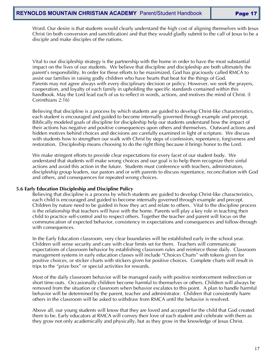Word. Our desire is that students would clearly understand the high cost of aligning themselves with Jesus Christ (in both conversion and sanctification) and that they would gladly submit to the call of Jesus to be a disciple and make disciples of the nations.

Vital to our discipleship strategy is the partnership with the home in order to have the most substantial impact on the lives of our students. We believe that discipline and discipleship are both ultimately the parent's responsibility. In order for these efforts to be maximized, God has graciously called RMCA to assist our families in raising godly children who have hearts that beat for the things of God. Parents may not agree always with every disciplinary decision or policy. However, we seek the prayers, cooperation, and loyalty of each family in upholding the specific standards contained within this handbook. May the Lord lead each of us to reflect in words, actions, and motives the mind of Christ. (I Corinthians 2:16)

Believing that discipline is a process by which students are guided to develop Christ-like characteristics, each student is encouraged and guided to become internally governed through example and precept. Biblically modeled goals of discipline for discipleship help our students understand how the impact of their actions has negative and positive consequences upon others and themselves. Outward actions and hidden motives behind choices and decisions are carefully examined in light of scripture. We discuss with students how to strengthen our walk with Christ by steps of confession, repentance, forgiveness and restoration. Discipleship means choosing to do the right thing because it brings honor to the Lord.

We make stringent efforts to provide clear expectations for every facet of our student body. We understand that students will make wrong choices and our goal is to help them recognize their sinful actions and avoid this action in the future. Students must conference with teachers, administrators, discipleship group leaders, our pastors and or with parents to discuss repentance, reconciliation with God and others, and consequences for repeated wrong choices.

#### **5.6 Early Education Discipleship and Discipline Policy**

Believing that discipline is a process by which students are guided to develop Christ-like characteristics, each child is encouraged and guided to become internally governed through example and precept. Children by nature need to be guided in how they act and relate to others. Vital to the discipline process is the relationship that teachers will have with the home. Parents will play a key role in teaching their child to practice self-control and to respect others. Together the teacher and parent will focus on the communication of expected behavior, consistency in expectations and consequences and follow-through with consequences.

In the Early Education classroom, very clear boundaries will be established early in the school year. Children will sense security and care with clear limits set for them. Teachers will communicate expectations of classroom behavior by establishing classroom rules and reinforce those daily. Classroom management systems in early education classes will include "Choices Charts" with tokens given for positive choices, or sticker charts with stickers given for positive choices. Complete charts will result in trips to the "prize box" or special activities for rewards.

Most of the daily classroom behavior will be managed easily with positive reinforcement redirection or short time-outs. Occasionally children become harmful to themselves or others. Children will always be removed from the situation or classroom when behavior escalates to this point. A plan to handle harmful behavior will be determined by the parent, teacher and administrator. Children that consistently harm others in the classroom will be asked to withdraw from RMCA until the behavior is resolved.

Above all, our young students will know that they are loved and accepted for the child that God created them to be. Early educators at RMCA will convey their love of each student and celebrate with them as they grow not only academically and physically, but as they grow in the knowledge of Jesus Christ.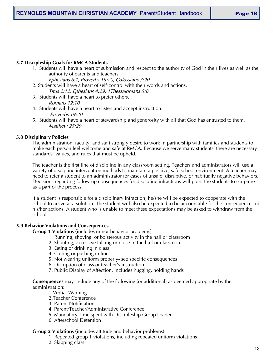# **5.7 Discipleship Goals for RMCA Students**

1. Students will have a heart of submission and respect to the authority of God in their lives as well as the authority of parents and teachers.

*Ephesians 6:1, Proverbs 19:20, Colossians 3:20*

- 2. Students will have a heart of self-control with their words and actions.
- *Titus 2:12, Ephesians 4:29, 1Thessalonians 5:8* 3. Students will have a heart to prefer others.

*Romans 12:10*

- 4. Students will have a heart to listen and accept instruction. *Proverbs 19:20*
- 5. Students will have a heart of stewardship and generosity with all that God has entrusted to them. *Matthew 25:29*

# **5.8 Disciplinary Policies**

The administration, faculty, and staff strongly desire to work in partnership with families and students to make each person feel welcome and safe at RMCA. Because we serve many students, there are necessary standards, values, and rules that must be upheld.

The teacher is the first line of discipline in any classroom setting. Teachers and administrators will use a variety of discipline intervention methods to maintain a positive, safe school environment. A teacher may need to refer a student to an administrator for cases of unsafe, disruptive, or habitually negative behaviors. Decisions regarding follow up consequences for discipline infractions will point the students to scripture as a part of the process.

If a student is responsible for a disciplinary infraction, he/she will be expected to cooperate with the school to arrive at a solution. The student will also be expected to be accountable for the consequences of his/her actions. A student who is unable to meet these expectations may be asked to withdraw from the school.

# **5.9 Behavior Violations and Consequences**

**Group 1 Violations (**includes minor behavior problems)

- 1. Running, shoving, or boisterous activity in the hall or classroom
- 2. Shouting, excessive talking or noise in the hall or classroom
- 3. Eating or drinking in class
- 4. Cutting or pushing in line
- 5. Not wearing uniform properly- see specific consequences
- 6. Disruption of class or teacher's instruction
- 7. Public Display of Affection, includes hugging, holding hands

**Consequences** may include any of the following (or additional) as deemed appropriate by the administration:

- 1.Verbal Warning
- 2.Teacher Conference
- 3. Parent Notification
- 4. Parent/Teacher/Administrative Conference
- 5. Mandatory Time spent with Discipleship Group Leader
- 6. Afterschool Detention

# **Group 2 Violations (**includes attitude and behavior problems)

- 1. Repeated group 1 violations, including repeated uniform violations
- 2. Skipping class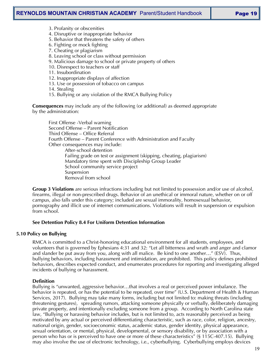# **REYNOLDS MOUNTAIN CHRISTIAN ACADEMY** Parent/Student Handbook | **Page 19**

- 3. Profanity or obscenities
- 4. Disruptive or inappropriate behavior
- 5. Behavior that threatens the safety of others
- 6. Fighting or mock fighting
- 7. Cheating or plagiarism
- 8. Leaving school or class without permission
- 9. Malicious damage to school or private property of others
- 10. Disrespect to teachers or staff
- 11. Insubordination
- 12. Inappropriate displays of affection
- 13. Use or possession of tobacco on campus
- 14. Stealing
- 15. Bullying or any violation of the RMCA Bullying Policy

**Consequences** may include any of the following (or additional) as deemed appropriate by the administration:

First Offense -Verbal warning Second Offense – Parent Notification Third Offense – Office Referral Fourth Offense – Parent Conference with Administration and Faculty Other consequences may include: After-school detention Failing grade on test or assignment (skipping, cheating, plagiarism) Mandatory time spent with Discipleship Group Leader School community service project Suspension Removal from school

**Group 3 Violations** are serious infractions including but not limited to possession and/or use of alcohol, firearms, illegal or non-prescribed drugs. Behavior of an unethical or immoral nature, whether on or off campus, also falls under this category; included are sexual immorality, homosexual behavior, pornography and illicit use of internet communications. Violations will result in suspension or expulsion from school.

#### **See Detention Policy 8.4 For Uniform Detention Information**

#### **5.10 Policy on Bullying**

RMCA is committed to a Christ-honoring educational environment for all students, employees, and volunteers that is governed by Ephesians 4:31 and 32: "Let all bitterness and wrath and anger and clamor and slander be put away from you, along with all malice. Be kind to one another…" (ESV). Thus, bullying behaviors, including harassment and intimidation, are prohibited. This policy defines prohibited behaviors, describes expected conduct, and enumerates procedures for reporting and investigating alleged incidents of bullying or harassment.

#### **Definition**

Bullying is "unwanted, aggressive behavior…that involves a real or perceived power imbalance. The behavior is repeated, or has the potential to be repeated, over time" (U.S. Department of Health & Human Services, 2017). Bullying may take many forms, including but not limited to: making threats (including threatening gestures), spreading rumors, attacking someone physically or verbally, deliberately damaging private property, and intentionally excluding someone from a group. According to North Carolina state law, "Bullying or harassing behavior includes, but is not limited to, acts reasonably perceived as being motivated by any actual or perceived differentiating characteristic, such as race, color, religion, ancestry, national origin, gender, socioeconomic status, academic status, gender identity, physical appearance, sexual orientation, or mental, physical, developmental, or sensory disability, or by association with a person who has or is perceived to have one or more of these characteristics" (§ 115C-407.15). Bullying may also involve the use of electronic technology, i.e., cyberbullying. Cyberbullying employs devices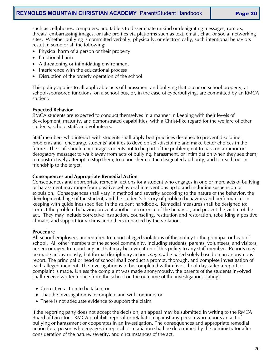such as cellphones, computers, and tablets to disseminate unkind or denigrating messages, rumors, threats, embarrassing images, or fake profiles via platforms such as text, email, chat, or social networking sites. Whether bullying is committed verbally, physically, or electronically, such intentional behaviors result in some or all the following:

- Physical harm of a person or their property
- Emotional harm
- A threatening or intimidating environment
- Interference with the educational process
- Disruption of the orderly operation of the school

This policy applies to all applicable acts of harassment and bullying that occur on school property, at school-sponsored functions, on a school bus, or, in the case of cyberbullying, are committed by an RMCA student.

#### **Expected Behavior**

RMCA students are expected to conduct themselves in a manner in keeping with their levels of development, maturity, and demonstrated capabilities, with a Christ-like regard for the welfare of other students, school staff, and volunteers.

Staff members who interact with students shall apply best practices designed to prevent discipline problems and encourage students' abilities to develop self-discipline and make better choices in the future. The staff should encourage students not to be part of the problem; not to pass on a rumor or derogatory message; to walk away from acts of bullying, harassment, or intimidation when they see them; to constructively attempt to stop them; to report them to the designated authority; and to reach out in friendship to the target.

#### **Consequences and Appropriate Remedial Action**

Consequences and appropriate remedial actions for a student who engages in one or more acts of bullying or harassment may range from positive behavioral interventions up to and including suspension or expulsion. Consequences shall vary in method and severity according to the nature of the behavior, the developmental age of the student, and the student's history of problem behaviors and performance, in keeping with guidelines specified in the student handbook. Remedial measures shall be designed to: correct the problem behavior; prevent another occurrence of the behavior; and protect the victim of the act. They may include corrective instruction, counseling, restitution and restoration, rebuilding a positive climate, and support for victims and others impacted by the violation.

#### **Procedure**

All school employees are required to report alleged violations of this policy to the principal or head of school. All other members of the school community, including students, parents, volunteers, and visitors, are encouraged to report any act that may be a violation of this policy to any staff member. Reports may be made anonymously, but formal disciplinary action *may not* be based solely based on an anonymous report. The principal or head of school shall conduct a prompt, thorough, and complete investigation of each alleged incident. The investigation is to be completed within five school days after a report or complaint is made. Unless the complaint was made anonymously, the parents of the students involved shall receive written notice from the school on the outcome of the investigation, stating:

- Corrective action to be taken; or
- That the investigation is incomplete and will continue; or
- There is not adequate evidence to support the claim.

If the reporting party does not accept the decision, an appeal may be submitted in writing to the RMCA Board of Directors. RMCA prohibits reprisal or retaliation against any person who reports an act of bullying or harassment or cooperates in an investigation. The consequences and appropriate remedial action for a person who engages in reprisal or retaliation shall be determined by the administrator after consideration of the nature, severity, and circumstances of the act.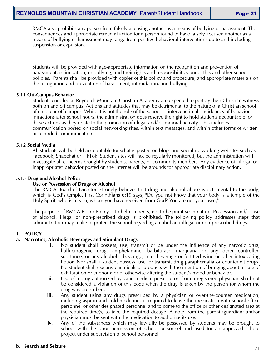RMCA also prohibits any person from falsely accusing another as a means of bullying or harassment. The consequences and appropriate remedial action for a person found to have falsely accused another as a means of bullying or harassment may range from positive behavioral interventions up to and including suspension or expulsion.

Students will be provided with age-appropriate information on the recognition and prevention of harassment, intimidation, or bullying, and their rights and responsibilities under this and other school policies. Parents shall be provided with copies of this policy and procedure, and appropriate materials on the recognition and prevention of harassment, intimidation, and bullying.

#### **5.11 Off-Campus Behavior**

Students enrolled at Reynolds Mountain Christian Academy are expected to portray their Christian witness both on and off campus. Actions and attitudes that may be detrimental to the nature of a Christian school often occur off campus. While it is not the role of the school to intervene in all incidences of behavior infractions after school hours, the administration does reserve the right to hold students accountable for those actions as they relate to the promotion of illegal and/or immoral activity. This includes communication posted on social networking sites, within text messages, and within other forms of written or recorded communication.

#### **5.12 Social Media**

All students will be held accountable for what is posted on blogs and social-networking websites such as Facebook, Snapchat or TikTok. Student sites will not be regularly monitored, but the administration will investigate all concerns brought by students, parents, or community members. Any evidence of "illegal or inappropriate" behavior posted on the Internet will be grounds for appropriate disciplinary action.

#### **5.13 Drug and Alcohol Policy**

#### **Use or Possession of Drugs or Alcohol**

The RMCA Board of Directors strongly believes that drug and alcohol abuse is detrimental to the body, which is God's temple. First Corinthians 6:19 says, "Do you not know that your body is a temple of the Holy Spirit, who is in you, whom you have received from God? You are not your own;<sup>"</sup>

The purpose of RMCA Board Policy is to help students, not to be punitive in nature. Possession and/or use of alcohol, illegal or non-prescribed drugs is prohibited. The following policy addresses steps that administration may make to protect the school regarding alcohol and illegal or non-prescribed drugs.

#### **1. POLICY**

#### **a. Narcotics, Alcoholic Beverages and Stimulant Drugs**

- **i.** No student shall possess, use, transmit or be under the influence of any narcotic drug, hallucinogenic drug, amphetamine, barbiturate, marijuana or any other controlled substance, or any alcoholic beverage, malt beverage or fortified wine or other intoxicating liquor. Nor shall a student possess, use, or transmit drug paraphernalia or counterfeit drugs. No student shall use any chemicals or products with the intention of bringing about a state of exhilaration or euphoria or of otherwise altering the student's mood or behavior.
- **ii.** Use of a drug authorized by valid medical prescription from a registered physician shall not be considered a violation of this code when the drug is taken by the person for whom the drug was prescribed.
- iii. Any student using any drugs prescribed by a physician or over-the-counter medication, including aspirin and cold medicines is required to leave the medication with school office personnel or other designated personnel and to come to the office or other designated area at the required time(s) to take the required dosage. A note from the parent (guardian) and/or physician must be sent with the medication to authorize its use.
- iv. Any of the substances which may lawfully be possessed by students may be brought to school with the prior permission of school personnel and used for an approved school project under supervision of school personnel.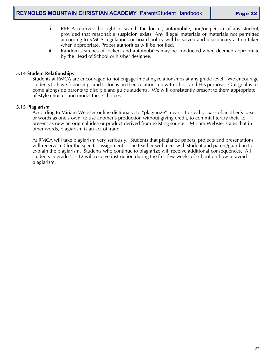- **i.** RMCA reserves the right to search the locker, automobile, and/or person of any student, provided that reasonable suspicion exists. Any illegal materials or materials not permitted according to RMCA regulations or board policy will be seized and disciplinary action taken when appropriate. Proper authorities will be notified.
- **ii.** Random searches of lockers and automobiles may be conducted when deemed appropriate by the Head of School or his/her designee.

#### **5.14 Student Relationships**

Students at RMCA are encouraged to not engage in dating relationships at any grade level. We encourage students to have friendships and to focus on their relationship with Christ and His purpose. Our goal is to come alongside parents to disciple and guide students. We will consistently present to them appropriate lifestyle choices and model these choices.

#### **5.15 Plagiarism**

According to Miriam Webster online dictionary, to "plagiarize" means: to steal or pass of another's ideas or words as one's own, to use another's production without giving credit, to commit literary theft, to present as new an original idea or product derived from existing source. Miriam Webster states that in other words, plagiarism is an act of fraud.

At RMCA will take plagiarism very seriously. Students that plagiarize papers, projects and presentations will receive a 0 for the specific assignment. The teacher will meet with student and parent/guardian to explain the plagiarism. Students who continue to plagiarize will receive additional consequences. All students in grade 5 – 12 will receive instruction during the first few weeks of school on how to avoid plagiarism.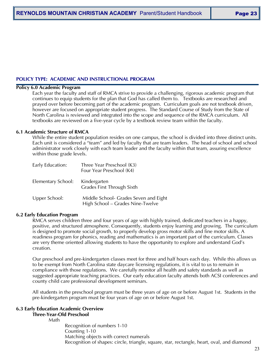#### **POLICY TYPE: ACADEMIC AND INSTRUCTIONAL PROGRAM**

#### **Policy 6.0 Academic Program**

Each year the faculty and staff of RMCA strive to provide a challenging, rigorous academic program that continues to equip students for the plan that God has called them to. Textbooks are researched and prayed over before becoming part of the academic program. Curriculum goals are not textbook driven, however are focused on appropriate student progress. The Standard Course of Study from the State of North Carolina is reviewed and integrated into the scope and sequence of the RMCA curriculum. All textbooks are reviewed on a five-year cycle by a textbook review team within the faculty.

#### **6.1 Academic Structure of RMCA**

While the entire student population resides on one campus, the school is divided into three distinct units. Each unit is considered a "team" and led by faculty that are team leaders. The head of school and school administrator work closely with each team leader and the faculty within that team, assuring excellence within those grade levels.

| Early Education:                | Three Year Preschool (K3)<br>Four Year Preschool (K4)                     |
|---------------------------------|---------------------------------------------------------------------------|
| Elementary School: Kindergarten | Grades First Through Sixth                                                |
| Upper School:                   | Middle School- Grades Seven and Eight<br>High School - Grades Nine-Twelve |

#### **6.2 Early Education Program**

RMCA serves children three and four years of age with highly trained, dedicated teachers in a happy, positive, and structured atmosphere. Consequently, students enjoy learning and growing. The curriculum is designed to promote social growth, to properly develop gross motor skills and fine motor skills. A readiness program for phonics, reading and mathematics is an important part of the curriculum. Classes are very theme oriented allowing students to have the opportunity to explore and understand God's creation.

Our preschool and pre-kindergarten classes meet for three and half hours each day. While this allows us to be exempt from North Carolina state daycare licensing regulations, it is vital to us to remain in compliance with those regulations. We carefully monitor all health and safety standards as well as suggested appropriate teaching practices. Our early education faculty attends both ACSI conferences and county child care professional development seminars.

All students in the preschool program must be three years of age on or before August 1st. Students in the pre-kindergarten program must be four years of age on or before August 1st.

#### **6.3 Early Education Academic Overview**

#### **Three-Year-Old Preschool**

Math

Recognition of numbers 1-10 Counting 1-10 Matching objects with correct numerals Recognition of shapes: circle, triangle, square, star, rectangle, heart, oval, and diamond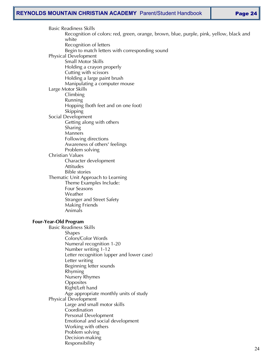Basic Readiness Skills Recognition of colors: red, green, orange, brown, blue, purple, pink, yellow, black and white Recognition of letters Begin to match letters with corresponding sound Physical Development Small Motor Skills Holding a crayon properly Cutting with scissors Holding a large paint brush Manipulating a computer mouse Large Motor Skills Climbing Running Hopping (both feet and on one foot) **Skipping** Social Development Getting along with others Sharing **Manners** Following directions Awareness of others' feelings Problem solving Christian Values Character development Attitudes Bible stories Thematic Unit Approach to Learning Theme Examples Include: Four Seasons Weather Stranger and Street Safety Making Friends Animals **Four-Year-Old Program** Basic Readiness Skills Shapes Colors/Color Words Numeral recognition 1-20 Number writing 1-12 Letter recognition (upper and lower case) Letter writing Beginning letter sounds Rhyming Nursery Rhymes **Opposites** Right/Left hand Age appropriate monthly units of study Physical Development Large and small motor skills **Coordination** Personal Development Emotional and social development Working with others Problem solving Decision-making Responsibility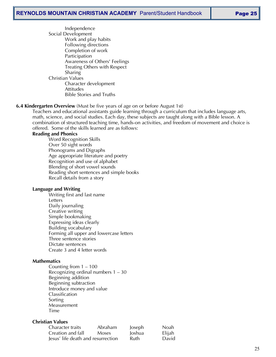Independence Social Development Work and play habits Following directions Completion of work Participation Awareness of Others' Feelings Treating Others with Respect Sharing Christian Values Character development Attitudes Bible Stories and Truths

#### **6.4 Kindergarten Overview** (Must be five years of age on or before August 1st)

Teachers and educational assistants guide learning through a curriculum that includes language arts, math, science, and social studies. Each day, these subjects are taught along with a Bible lesson. A combination of structured teaching time, hands-on activities, and freedom of movement and choice is offered. Some of the skills learned are as follows:

#### **Reading and Phonics**

Word Recognition Skills Over 50 sight words Phonograms and Digraphs Age appropriate literature and poetry Recognition and use of alphabet Blending of short vowel sounds Reading short sentences and simple books Recall details from a story

#### **Language and Writing**

Writing first and last name Letters Daily journaling Creative writing Simple bookmaking Expressing ideas clearly Building vocabulary Forming all upper and lowercase letters Three sentence stories Dictate sentences Create 3 and 4 letter words

#### **Mathematics**

Counting from 1 – 100 Recognizing ordinal numbers 1 – 30 Beginning addition Beginning subtraction Introduce money and value Classification Sorting Measurement Time

#### **Christian Values**

| Character traits                   | Abraham | Joseph | <b>Noah</b> |
|------------------------------------|---------|--------|-------------|
| Creation and fall                  | Moses   | Joshua | Elijah      |
| Jesus' life death and resurrection |         | Ruth   | David       |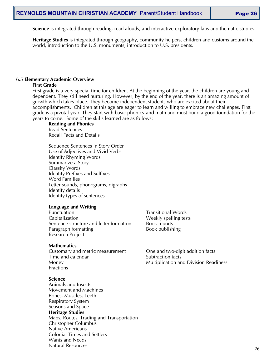**Science** is integrated through reading, read alouds, and interactive exploratory labs and thematic studies.

**Heritage Studies** is integrated through geography, community helpers, children and customs around the world, introduction to the U.S. monuments, introduction to U.S. presidents.

#### **6.5 Elementary Academic Overview**

#### **First Grade**

First grade is a very special time for children. At the beginning of the year, the children are young and dependent. They still need nurturing. However, by the end of the year, there is an amazing amount of growth which takes place. They become independent students who are excited about their accomplishments. Children at this age are eager to learn and willing to embrace new challenges. First grade is a pivotal year. They start with basic phonics and math and must build a good foundation for the years to come. Some of the skills learned are as follows:

#### **Reading and Phonics**

Read Sentences Recall Facts and Details

Sequence Sentences in Story Order Use of Adjectives and Vivid Verbs Identify Rhyming Words Summarize a Story Classify Words Identify Prefixes and Suffixes Word Families Letter sounds, phonograms, digraphs Identify details Identify types of sentences

#### **Language and Writing**

Punctuation **Punctuation Transitional Words** Capitalization **Weekly** spelling tests Sentence structure and letter formation Book reports Paragraph formatting example by Book publishing Research Project

#### **Mathematics**

Customary and metric measurement One and two-digit addition facts Time and calendar Time and calendar Subtraction facts Fractions

#### **Science**

Animals and Insects Movement and Machines Bones, Muscles, Teeth Respiratory System Seasons and Space **Heritage Studies** Maps, Routes, Trading and Transportation Christopher Columbus Native Americans Colonial Times and Settlers Wants and Needs Natural Resources

Money Multiplication and Division Readiness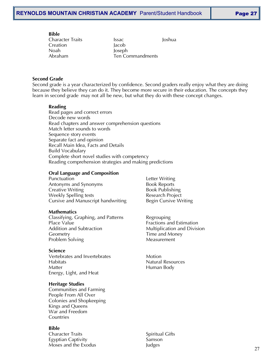# **Bible**

Creation Jacob Noah Joseph

Character Traits **Issac** Issac **Issac** Joshua Abraham Ten Commandments

# **Second Grade**

Second grade is a year characterized by confidence. Second graders really enjoy what they are doing because they believe they can do it. They become more secure in their education. The concepts they learn in second grade may not all be new, but what they do with these concept changes.

# **Reading**

Read pages and correct errors Decode new words Read chapters and answer comprehension questions Match letter sounds to words Sequence story events Separate fact and opinion Recall Main Idea, Facts and Details Build Vocabulary Complete short novel studies with competency Reading comprehension strategies and making predictions

# **Oral Language and Composition**

Punctuation **Letter Writing** Antonyms and Synonyms Book Reports Creative Writing **Book Publishing** Weekly Spelling tests **Research Project** Research Project Cursive and Manuscript handwriting Begin Cursive Writing

#### **Mathematics**

Classifying, Graphing, and Patterns Regrouping Place Value **Fractions** and Estimation Addition and Subtraction **Multiplication** and Division Geometry Time and Money Problem Solving The Contract of Measurement

#### **Science**

Vertebrates and Invertebrates **Motion** Habitats **Natural Resources** Matter **Matter** Matter **Human Body** Energy, Light, and Heat

# **Heritage Studies**

Communities and Farming People From All Over Colonies and Shopkeeping Kings and Queens War and Freedom Countries

#### **Bible**

Character Traits Spiritual Gifts Egyptian Captivity **Samson** Moses and the Exodus **Judges**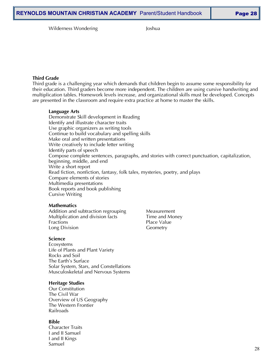Wilderness Wondering and The Moshua

#### **Third Grade**

Third grade is a challenging year which demands that children begin to assume some responsibility for their education. Third graders become more independent. The children are using cursive handwriting and multiplication tables. Homework levels increase, and organizational skills must be developed. Concepts are presented in the classroom and require extra practice at home to master the skills.

#### **Language Arts**

Demonstrate Skill development in Reading Identify and illustrate character traits Use graphic organizers as writing tools Continue to build vocabulary and spelling skills Make oral and written presentations Write creatively to include letter writing Identify parts of speech Compose complete sentences, paragraphs, and stories with correct punctuation, capitalization, beginning, middle, and end Write a short report Read fiction, nonfiction, fantasy, folk tales, mysteries, poetry, and plays Compare elements of stories Multimedia presentations Book reports and book publishing Cursive Writing

#### **Mathematics**

Addition and subtraction regrouping Measurement Multiplication and division facts Time and Money Fractions **Place Value** Long Division **Geometry** 

#### **Science**

Ecosystems Life of Plants and Plant Variety Rocks and Soil The Earth's Surface Solar System, Stars, and Constellations Musculoskeletal and Nervous Systems

#### **Heritage Studies**

Our Constitution The Civil War Overview of US Geography The Western Frontier Railroads

#### **Bible**

Character Traits I and II Samuel I and II Kings Samuel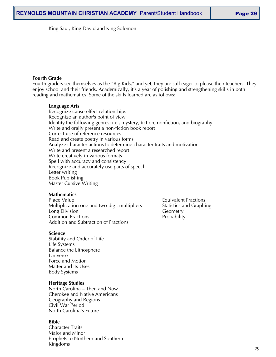King Saul, King David and King Solomon

#### **Fourth Grade**

Fourth graders see themselves as the "Big Kids," and yet, they are still eager to please their teachers. They enjoy school and their friends. Academically, it's a year of polishing and strengthening skills in both reading and mathematics. Some of the skills learned are as follows:

#### **Language Arts**

Recognize cause-effect relationships Recognize an author's point of view Identify the following genres; i.e., mystery, fiction, nonfiction, and biography Write and orally present a non-fiction book report Correct use of reference resources Read and create poetry in various forms Analyze character actions to determine character traits and motivation Write and present a researched report Write creatively in various formats Spell with accuracy and consistency Recognize and accurately use parts of speech Letter writing Book Publishing Master Cursive Writing

#### **Mathematics**

Place Value **Equivalent Fractions** Multiplication one and two-digit multipliers Statistics and Graphing Long Division **Geometry** Common Fractions **Probability** Addition and Subtraction of Fractions

#### **Science**

Stability and Order of Life Life Systems Balance the Lithosphere Universe Force and Motion Matter and Its Uses Body Systems

#### **Heritage Studies**

North Carolina – Then and Now Cherokee and Native Americans Geography and Regions Civil War Period North Carolina's Future

#### **Bible**

Character Traits Major and Minor Prophets to Northern and Southern Kingdoms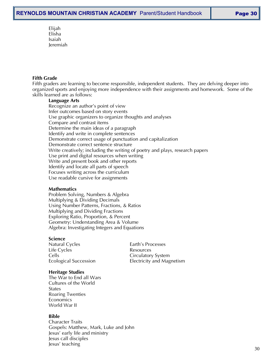Elijah Elisha Isaiah Jeremiah

# **Fifth Grade**

Fifth graders are learning to become responsible, independent students. They are delving deeper into organized sports and enjoying more independence with their assignments and homework. Some of the skills learned are as follows:

#### **Language Arts**

Recognize an author's point of view Infer outcomes based on story events Use graphic organizers to organize thoughts and analyses Compare and contrast items Determine the main ideas of a paragraph Identify and write in complete sentences Demonstrate correct usage of punctuation and capitalization Demonstrate correct sentence structure Write creatively; including the writing of poetry and plays, research papers Use print and digital resources when writing Write and present book and other reports Identify and locate all parts of speech Focuses writing across the curriculum Use readable cursive for assignments

#### **Mathematics**

Problem Solving, Numbers & Algebra Multiplying & Dividing Decimals Using Number Patterns, Fractions, & Ratios Multiplying and Dividing Fractions Exploring Ratio, Proportion, & Percent Geometry: Understanding Area & Volume Algebra: Investigating Integers and Equations

#### **Science**

Natural Cycles **Earth's Processes** Life Cycles **Resources** Cells Cells Circulatory System

Ecological Succession Electricity and Magnetism

#### **Heritage Studies**

The War to End all Wars Cultures of the World States Roaring Twenties Economics World War II

#### **Bible**

Character Traits Gospels: Matthew, Mark, Luke and John Jesus' early life and ministry Jesus call disciples Jesus' teaching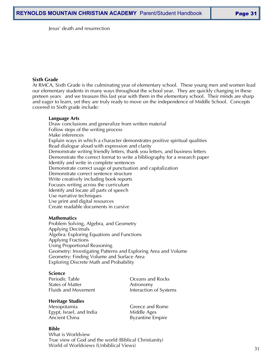Jesus' death and resurrection

#### **Sixth Grade**

At RMCA, Sixth Grade is the culminating year of elementary school. These young men and women lead our elementary students in many ways throughout the school year. They are quickly changing in these preteen years and we treasure this last year with them in the elementary school. Their minds are sharp and eager to learn, yet they are truly ready to move on the independence of Middle School. Concepts covered in Sixth grade include:

#### **Language Arts**

Draw conclusions and generalize from written material Follow steps of the writing process Make inferences Explain ways in which a character demonstrates positive spiritual qualities Read dialogue aloud with expression and clarity Demonstrate writing friendly letters, thank you letters, and business letters Demonstrate the correct format to write a bibliography for a research paper Identify and write in complete sentences Demonstrate correct usage of punctuation and capitalization Demonstrate correct sentence structure Write creatively including book reports Focuses writing across the curriculum Identify and locate all parts of speech Use narrative techniques Use print and digital resources Create readable documents in cursive

#### **Mathematics**

Problem Solving, Algebra, and Geometry Applying Decimals Algebra: Exploring Equations and Functions Applying Fractions Using Proportional Reasoning Geometry: Investigating Patterns and Exploring Area and Volume Geometry: Finding Volume and Surface Area Exploring Discrete Math and Probability

#### **Science**

States of Matter **Astronomy** Fluids and Movement **Interaction of Systems** 

Periodic Table **COCEC COCE COCE OCEANS** and Rocks

#### **Heritage Studies**

Mesopotamia and Greece and Rome Egypt, Israel, and India Middle Ages Ancient China **Byzantine** Empire

#### **Bible**

What is Worldview True view of God and the world (Biblical Christianity) World of Worldviews (Unbiblical Views)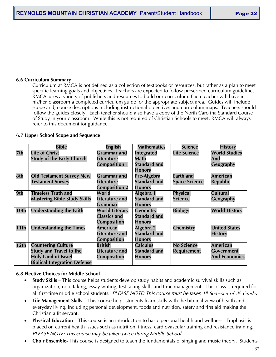#### **6.6 Curriculum Summary**

Curriculum at RMCA is not defined as a collection of textbooks or resources, but rather as a plan to meet specific learning goals and objectives. Teachers are expected to follow prescribed curriculum guidelines. RMCA uses a variety of publishers and resources to build our curriculum. Each teacher will have in his/her classroom a completed curriculum guide for the appropriate subject area. Guides will include scope and, course descriptions including instructional objectives and curriculum maps. Teachers should follow the guides closely. Each teacher should also have a copy of the North Carolina Standard Course of Study in your classroom. While this is not required of Christian Schools to meet, RMCA will always refer to this document for guidance.

#### **6.7 Upper School Scope and Sequence**

|                  | <b>Bible</b>                        | <b>English</b>        | <b>Mathematics</b>  | <b>Science</b>       | <b>History</b>       |
|------------------|-------------------------------------|-----------------------|---------------------|----------------------|----------------------|
| 7th              | <b>Life of Christ</b>               | <b>Grammar</b> and    | <b>Integrated</b>   | <b>Life Science</b>  | <b>World Studies</b> |
|                  | <b>Study of the Early Church</b>    | <b>Literature</b>     | Math                |                      | And                  |
|                  |                                     | <b>Composition 1</b>  | <b>Standard and</b> |                      | Geography            |
|                  |                                     |                       | <b>Honors</b>       |                      |                      |
| 8th              | <b>Old Testament Survey New</b>     | <b>Grammar</b> and    | Pre-Algebra         | <b>Earth and</b>     | <b>American</b>      |
|                  | <b>Testament Survey</b>             | <b>Literature</b>     | <b>Standard and</b> | <b>Space Science</b> | <b>Republic</b>      |
|                  |                                     | <b>Composition 2</b>  | <b>Honors</b>       |                      |                      |
| 9th              | <b>Timeless Truth and</b>           | World                 | Algebra 1           | <b>Physical</b>      | <b>Cultural</b>      |
|                  | <b>Mastering Bible Study Skills</b> | <b>Literature and</b> | <b>Standard and</b> | <b>Science</b>       | Geography            |
|                  |                                     | <b>Grammar</b>        | <b>Honors</b>       |                      |                      |
| 10th             | <b>Understanding the Faith</b>      | <b>World Literary</b> | <b>Geometry</b>     | <b>Biology</b>       | <b>World History</b> |
|                  |                                     | <b>Classics and</b>   | <b>Standard and</b> |                      |                      |
|                  |                                     | <b>Composition</b>    | <b>Honors</b>       |                      |                      |
| 11th             | <b>Understanding the Times</b>      | American              | Algebra 2           | <b>Chemistry</b>     | <b>United States</b> |
|                  |                                     | <b>Literature and</b> | <b>Standard and</b> |                      | <b>History</b>       |
|                  |                                     | <b>Composition</b>    | <b>Honors</b>       |                      |                      |
| 12 <sub>th</sub> | <b>Countering Culture</b>           | <b>British</b>        | <b>Calculus</b>     | <b>No Science</b>    | <b>American</b>      |
|                  | <b>Study and Travel to the</b>      | <b>Literature and</b> | <b>Standard and</b> | <b>Requirement</b>   | <b>Government</b>    |
|                  | <b>Holy Land of Israel</b>          | Composition           | <b>Honors</b>       |                      | <b>And Economics</b> |
|                  | <b>Biblical Integration Defense</b> |                       |                     |                      |                      |

#### **6.8 Elective Choices for Middle School**

- **Study Skills** This course helps students develop study habits and academic survival skills such as organization, note-taking, essay writing, test taking skills and time management. This class is required for all first-time middle school students. *PLEASE NOTE: This course must be taken 1st Semester of 7th Grade***.**
- **Life Management Skills** This course helps students learn skills with the biblical view of health and everyday living, including personal development, foods and nutrition, safety and first aid making the Christian a fit servant.
- **Physical Education** This course is an introduction to basic personal health and wellness. Emphasis is placed on current health issues such as nutrition, fitness, cardiovascular training and resistance training. *PLEASE NOTE: This course may be taken twice during Middle School*
- **Choir Ensemble** This course is designed to teach the fundamentals of singing and music theory. Students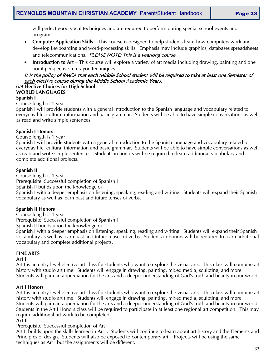will perfect good vocal techniques and are required to perform during special school events and programs.

- **Computer Application Skills** This course is designed to help students learn how computers work and develop keyboarding and word-processing skills. Emphasis may include graphics, databases spreadsheets and telecommunications. *PLEASE NOTE: This is a yearlong course.*
- **Introduction to Art** This course will explore a variety of art media including drawing, painting and one point perspective in crayon techniques.

# It is the policy of RMCA that each Middle School student will be required to take at least one Semester of each elective course during the Middle School Academic Years.

#### **6.9 Elective Choices for High School WORLD LANGUAGES**

# **Spanish I**

# Course length is 1 year

Spanish I will provide students with a general introduction to the Spanish language and vocabulary related to everyday life, cultural information and basic grammar. Students will be able to have simple conversations as well as read and write simple sentences.

# **Spanish I Honors**

#### Course length is 1 year

Spanish I will provide students with a general introduction to the Spanish language and vocabulary related to everyday life, cultural information and basic grammar. Students will be able to have simple conversations as well as read and write simple sentences. Students in honors will be required to learn additional vocabulary and complete additional projects.

# **Spanish II**

Course length is 1 year Prerequisite: Successful completion of Spanish I Spanish II builds upon the knowledge of Spanish I with a deeper emphasis on listening, speaking, reading and writing. Students will expand their Spanish vocabulary as well as learn past and future tenses of verbs.

# **Spanish II Honors**

Course length is 1 year

Prerequisite: Successful completion of Spanish I

Spanish II builds upon the knowledge of

Spanish I with a deeper emphasis on listening, speaking, reading and writing. Students will expand their Spanish vocabulary as well as learn past and future tenses of verbs. Students in honors will be required to learn additional vocabulary and complete additional projects.

# **FINE ARTS**

#### **Art I**

Art I is an entry level elective art class for students who want to explore the visual arts. This class will combine art history with studio art time. Students will engage in drawing, painting, mixed media, sculpting, and more. Students will gain an appreciation for the arts and a deeper understanding of God's truth and beauty in our world.

# **Art I Honors**

Art I is an entry level elective art class for students who want to explore the visual arts. This class will combine art history with studio art time. Students will engage in drawing, painting, mixed media, sculpting, and more. Students will gain an appreciation for the arts and a deeper understanding of God's truth and beauty in our world.

# Students in the Art I Honors class will be required to participate in at least one regional art competition. This may require additional art work to be completed.

# **Art II**

Prerequisite: Successful completion of Art I

Art II builds upon the skills learned in Art I. Students will continue to learn about art history and the Elements and Principles of design. Students will also be exposed to contemporary art. Projects will be using the same techniques as Art I but the assignments will be different.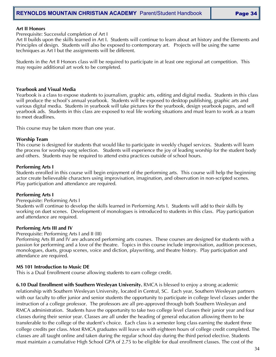#### **Art II Honors**

Prerequisite: Successful completion of Art I

Art II builds upon the skills learned in Art I. Students will continue to learn about art history and the Elements and Principles of design. Students will also be exposed to contemporary art. Projects will be using the same techniques as Art I but the assignments will be different.

Students in the Art II Honors class will be required to participate in at least one regional art competition. This may require additional art work to be completed.

#### **Yearbook and Visual Media**

Yearbook is a class to expose students to journalism, graphic arts, editing and digital media. Students in this class will produce the school's annual yearbook. Students will be exposed to desktop publishing, graphic arts and various digital media. Students in yearbook will take pictures for the yearbook, design yearbook pages, and sell yearbook ads. Students in this class are exposed to real life working situations and must learn to work as a team to meet deadlines.

This course may be taken more than one year.

#### **Worship Team**

This course is designed for students that would like to participate in weekly chapel services. Students will learn the process for worship song selection. Students will experience the joy of leading worship for the student body and others. Students may be required to attend extra practices outside of school hours.

#### **Performing Arts I**

Students enrolled in this course will begin enjoyment of the performing arts. This course will help the beginning actor create believeable characters using improvisation, imagination, and observation in non-scripted scenes. Play participation and attendance are required.

#### **Performing Arts I**

#### Prerequisite: Performing Arts I

Students will continue to develop the skills learned in Performing Arts I. Students will add to their skills by working on duet scenes. Development of monologues is introduced to students in this class. Play participation and attendance are required.

#### **Performing Arts III and IV**

#### Prerequisite: Performing Arts I and II (III)

Performing Arts III and IV are advanced performing arts courses. These courses are designed for students with a passion for performing and a love of the theatre. Topics in this course include improvisation, audition processes, monologues, duets, group scenes, voice and diction, playwriting, and theatre history. Play participation and attendance are required.

#### **MS 101 Introduction to Music DE**

This is a Dual Enrollment course allowing students to earn college credit.

**6.10 Dual Enrollment with Southern Wesleyan University.** RMCA is blessed to enjoy a strong academic relationship with Southern Wesleyan University, located in Central, SC. Each year, Southern Wesleyan partners with our faculty to offer junior and senior students the opportunity to participate in college level classes under the instruction of a college professor. The professors are all pre-approved through both Southern Wesleyan and RMCA administration. Students have the opportunity to take two college level classes their junior year and four classes during their senior year. Classes are all under the heading of general education allowing them to be transferable to the college of the student's choice. Each class is a semester long class earning the student three college credits per class. Most RMCA graduates will leave us with eighteen hours of college credit completed. The classes are all taught online and taken during the regular school day during the third period elective. Students must maintain a cumulative High School GPA of 2.75 to be eligible for dual enrollment classes. The cost of the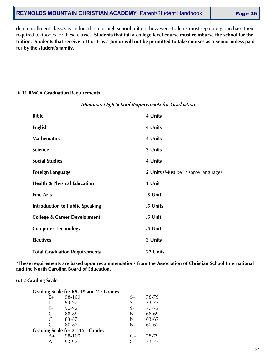# **REYNOLDS MOUNTAIN CHRISTIAN ACADEMY** Parent/Student Handbook | Page 35

dual enrollment classes is included in our high school tuition; however, students must separately purchase their required textbooks for these classes. **Students that fail a college level course must reimburse the school for the tuition. Students that receive a D or F as a Junior will not be permitted to take courses as a Senior unless paid for by the student's family.**

# **6.11 RMCA Graduation Requirements**

| <b>Bible</b>                            | 4 Units                            |
|-----------------------------------------|------------------------------------|
| <b>English</b>                          | 4 Units                            |
| <b>Mathematics</b>                      | 4 Units                            |
| <b>Science</b>                          | 3 Units                            |
| <b>Social Studies</b>                   | 4 Units                            |
| <b>Foreign Language</b>                 | 2 Units (Must be in same language) |
| <b>Health &amp; Physical Education</b>  | 1 Unit                             |
| <b>Fine Arts</b>                        | .5 Unit                            |
| <b>Introduction to Public Speaking</b>  | .5 Units                           |
| <b>College &amp; Career Development</b> | .5 Unit                            |
| <b>Computer Technology</b>              | .5 Unit                            |
| <b>Electives</b>                        | 3 Units                            |
| <b>Total Graduation Requirements</b>    | 27 Units                           |

# Minimum High School Requirements for Graduation

**\*These requirements are based upon recommendations from the Association of Christian School International and the North Carolina Board of Education.**

#### **6.12 Grading Scale**

|      | Grading Scale for K5, 1 <sup>st</sup> and 2 <sup>nd</sup> Grades |      |       |
|------|------------------------------------------------------------------|------|-------|
| F+   | 98-100                                                           | S+   | 78-79 |
| F.   | 93-97                                                            | S    | 73-77 |
| F-   | 90-92                                                            | $S-$ | 70-72 |
| $G+$ | 88-89                                                            | $N+$ | 68-69 |
| G    | 83-87                                                            | N    | 63-67 |
| $G-$ | 80-82                                                            | $N-$ | 60-62 |
|      | Grading Scale for 3rd-12th Grades                                |      |       |
| $A+$ | 98-100                                                           | $C+$ | 78-79 |
| A    | 93-97                                                            |      | 73-77 |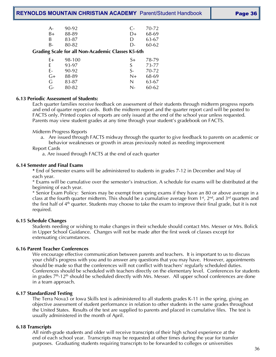| Page 36 |  |
|---------|--|
|---------|--|

| 80-82 | D-     | 60-62       |
|-------|--------|-------------|
|       |        |             |
| 83-87 | $\Box$ | 63-67       |
| 88-89 | $D+$   | 68-69       |
| 90-92 |        | $C - 70-72$ |
|       |        |             |

#### **Grading Scale for all Non-Academic Classes K5-6th**

| F+   | 98-100 | S+      | 78-79 |
|------|--------|---------|-------|
| F    | 93-97  | S       | 73-77 |
| F-   | 90-92  | $S_{-}$ | 70-72 |
| $G+$ | 88-89  | $N+$    | 68-69 |
| G    | 83-87  | N       | 63-67 |
| G-   | 80-82  | N-      | 60-62 |

#### **6.13 Periodic Assessment of Students:**

Each quarter families receive feedback on assessment of their students through midterm progress reports and end of quarter report cards. Both the midterm report and the quarter report card will be posted to FACTS only. Printed copies of reports are only issued at the end of the school year unless requested. Parents may view student grades at any time through your student's gradebook on FACTS.

Midterm Progress Reports

a. Are issued through FACTS midway through the quarter to give feedback to parents on academic or behavior weaknesses or growth in areas previously noted as needing improvement

Report Cards

a. Are issued through FACTS at the end of each quarter

#### **6.14 Semester and Final Exams**

**\*** End of Semester exams will be administered to students in grades 7-12 in December and May of each year.

\* Exams will be cumulative over the semester's instruction. A schedule for exams will be distributed at the beginning of each year.

\* Senior Exam Policy: Seniors may be exempt from spring exams if they have an 80 or above average in a class at the fourth quarter midterm. This should be a cumulative average from 1st, 2nd, and 3rd quarters and the first half of  $4<sup>th</sup>$  quarter. Students may choose to take the exam to improve their final grade, but it is not required.

#### **6.15 Schedule Changes**

Students needing or wishing to make changes in their schedule should contact Mrs. Messer or Mrs. Bolick in Upper School Guidance. Changes will not be made after the first week of classes except for extenuating circumstances.

#### **6.16 Parent Teacher Conferences**

We encourage effective communication between parents and teachers. It is important to us to discuss your child's progress with you and to answer any questions that you may have. However, appointments should be made so that the conferences will not conflict with teachers' regularly scheduled duties. Conferences should be scheduled with teachers directly on the elementary level. Conferences for students in grades  $7<sup>th</sup>$ -12<sup>th</sup> should be scheduled directly with Mrs. Messer. All upper school conferences are done in a team approach.

#### **6.17 Standardized Testing**

The Terra Nova3 or Iowa Skills test is administered to all students grades K-11 in the spring, giving an objective assessment of student performance in relation to other students in the same grades throughout the United States. Results of the test are supplied to parents and placed in cumulative files. The test is usually administered in the month of April.

#### **6.18 Transcripts**

All ninth-grade students and older will receive transcripts of their high school experience at the end of each school year. Transcripts may be requested at other times during the year for transfer purposes. Graduating students requiring transcripts to be forwarded to colleges or universities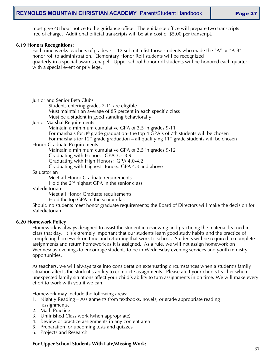must give 48 hour notice to the guidance office. The guidance office will prepare two transcripts free of charge. Additional official transcripts will be at a cost of \$5.00 per transcript.

#### **6.19 Honors Recognitions:**

Each nine weeks teachers of grades  $3 - 12$  submit a list those students who made the "A" or "A-B" honor roll to administration. Elementary Honor Roll students will be recognized quarterly in a special awards chapel. Upper school honor roll students will be honored each quarter with a special event or privilege.

| Junior and Senior Beta Clubs |  |  |  |
|------------------------------|--|--|--|
|------------------------------|--|--|--|

Students entering grades 7-12 are eligible

Must maintain an average of 85 percent in each specific class

Must be a student in good standing behaviorally

Junior Marshal Requirements

Maintain a minimum cumulative GPA of 3.5 in grades 9-11

For marshals for  $8<sup>th</sup>$  grade graduation- the top 4 GPA's of 7th students will be chosen For marshals for 12<sup>th</sup> grade graduation – all qualifying 11<sup>th</sup> grade students will be chosen

Honor Graduate Requirements

Maintain a minimum cumulative GPA of 3.5 in grades 9-12

Graduating with Honors: GPA 3.5-3.9

Graduating with High Honors: GPA 4.0-4.2

Graduating with Highest Honors: GPA 4.3 and above

Salutatorian

Meet all Honor Graduate requirements

Hold the 2nd highest GPA in the senior class

Valedictorian:

Meet all Honor Graduate requirements

Hold the top GPA in the senior class

Should no students meet honor graduate requirements; the Board of Directors will make the decision for Valedictorian.

#### **6.20 Homework Policy**

Homework is always designed to assist the student in reviewing and practicing the material learned in class that day. It is extremely important that our students learn good study habits and the practice of completing homework on time and returning that work to school. Students will be required to complete assignments and return homework as it is assigned. As a rule, we will not assign homework on Wednesday evenings to encourage students to be in Wednesday evening services and youth ministry opportunities.

As teachers, we will always take into consideration extenuating circumstances when a student's family situation affects the student's ability to complete assignments. Please alert your child's teacher when unexpected family situations affect your child's ability to turn assignments in on time. We will make every effort to work with you if we can.

Homework may include the following areas:

- 1. Nightly Reading Assignments from textbooks, novels, or grade appropriate reading assignments.
- 2. Math Practice
- 3. Unfinished Class work (when appropriate)
- 4. Review or practice assignments in any content area
- 5. Preparation for upcoming tests and quizzes
- 6. Projects and Research

#### **For Upper School Students With Late/Missing Work:**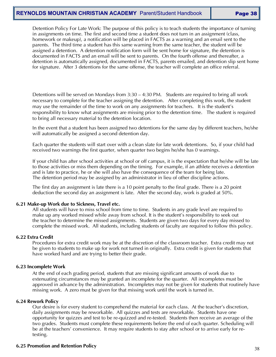# **REYNOLDS MOUNTAIN CHRISTIAN ACADEMY** Parent/Student Handbook **Page 38**

Detention Policy For Late Work: The purpose of this policy is to teach students the importance of turning in assignments on time. The first and second time a student does not turn in an assignment (class, homework or makeup), a notification will be placed in FACTS as a warning and an email sent to the parents. The third time a student has this same warning from the same teacher, the student will be assigned a detention. A detention notification form will be sent home for signature, the detention is documented in FACTS and an email will be sent to parents. On the fourth offense and thereafter, a detention is automatically assigned, documented in FACTS, parents emailed, and detention slip sent home for signature. After 3 detentions for the same offense, the teacher will complete an office referral.

Detentions will be served on Mondays from 3:30 – 4:30 PM. Students are required to bring all work necessary to complete for the teacher assigning the detention. After completing this work, the student may use the remainder of the time to work on any assignments for teachers. It is the student's responsibility to know what assignments are missing prior to the detention time. The student is required to bring all necessary material to the detention location.

In the event that a student has been assigned two detentions for the same day by different teachers, he/she will automatically be assigned a second detention day.

Each quarter the students will start over with a clean slate for late work detentions. So, if your child had received two warnings the first quarter, when quarter two begins he/she has 0 warnings.

If your child has after school activities at school or off campus, it is the expectation that he/she will be late to those activities or miss them depending on the timing. For example, if an athlete receives a detention and is late to practice, he or she will also have the consequence of the team for being late. The detention period may be assigned by an administrator in lieu of other discipline actions.

The first day an assignment is late there is a 10 point penalty to the final grade. There is a 20 point deduction the second day an assignment is late. After the second day, work is graded at 50%.

#### **6.21 Make-up Work due to Sickness, Travel etc.**

All students will have to miss school from time to time. Students in any grade level are required to make up any worked missed while away from school. It is the student's responsibility to seek out the teacher to determine the missed assignments. Students are given two days for every day missed to complete the missed work. All students, including students of faculty are required to follow this policy.

#### **6.22 Extra Credit**

Procedures for extra credit work may be at the discretion of the classroom teacher. Extra credit may not be given to students to make up for work not turned in originally. Extra credit is given for students that have worked hard and are trying to better their grade.

#### **6.23 Incomplete Work**

At the end of each grading period, students that are missing significant amounts of work due to extenuating circumstances may be granted an incomplete for the quarter. All incompletes must be approved in advance by the administration. Incompletes may not be given for students that routinely have missing work. A zero must be given for that missing work until the work is turned in.

#### **6.24 Rework Policy**

Our desire is for every student to comprehend the material for each class. At the teacher's discretion, daily assignments may be reworkable. All quizzes and tests are reworkable. Students have one opportunity for quizzes and test to be re-quizzed and re-tested. Students then receive an average of the two grades. Students must complete these requirements before the end of each quarter. Scheduling will be at the teachers' convenience. It may require students to stay after school or to arrive early for retesting.

#### **6.25 Promotion and Retention Policy**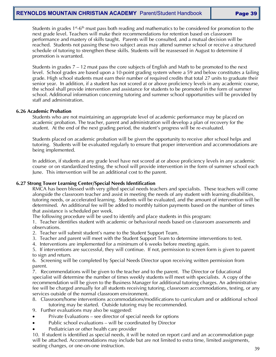Students in grades  $1^{st}$ -6<sup>th</sup> must pass both reading and mathematics to be considered for promotion to the next grade level. Teachers will make their recommendations for retention based on classroom performance and mastery of skills taught. Parents will be consulted, and a mutual decision will be reached. Students not passing these two subject areas may attend summer school or receive a structured schedule of tutoring to strengthen these skills. Students will be reassessed in August to determine if promotion is warranted.

Students in grades 7 – 12 must pass the core subjects of English and Math to be promoted to the next level. School grades are based upon a 10-point grading system where a 59 and below constitutes a failing grade. High school students must earn their number of required credits that total 27 units to graduate their senior year. In addition, if a student has not scored at or above proficiency levels in any academic course, the school shall provide intervention and assistance for students to be promoted in the form of summer school. Additional information concerning tutoring and summer school opportunities will be provided by staff and administration.

#### **6.26 Academic Probation**

Students who are not maintaining an appropriate level of academic performance may be placed on academic probation. The teacher, parent and administration will develop a plan of recovery for the student. At the end of the next grading period, the student's progress will be re-evaluated.

Students placed on academic probation will be given the opportunity to receive after school helps and tutoring. Students will be evaluated regularly to ensure that proper intervention and accommodations are being implemented.

In addition, if students at any grade level have not scored at or above proficiency levels in any academic course or on standardized testing, the school will provide intervention in the form of summer school each June. This intervention will be an additional cost to the parent.

#### **6.27 Strong Tower Learning Center/Special Needs Identification**

RMCA has been blessed with very gifted special needs teachers and specialists. These teachers will come alongside the classroom teacher and assist in meeting the needs of any student with learning disabilities, tutoring needs, or accelerated learning. Students will be evaluated, and the amount of intervention will be determined. An additional fee will be added to monthly tuition payments based on the number of times that assistance is scheduled per week.

The following procedure will be used to identify and place students in this program:

1. Teacher identifies student with academic or behavioral needs based on classroom assessments and observations.

- 2. Teacher will submit student's name to the Student Support Team.
- 3. Teacher and parent will meet with the Student Support Team to determine interventions to test.
- 4. Interventions are implemented for a minimum of 6 weeks before meeting again.
- 5. If interventions are successful, they will continue. If not, permission to screen form is given to parent to sign and return.

6. Screening will be completed by Special Needs Director upon receiving written permission from parent.

7. Recommendations will be given to the teacher and to the parent. The Director or Educational specialist will determine the number of times weekly students will meet with specialists. A copy of the recommendation will be given to the Business Manager for additional tutoring charges. An administrative fee will be charged annually for all students receiving tutoring, classroom accommodations, testing, or any services outside of the normal classroom environment.

- 8. Classroom/home interventions accommodations/modifications to curriculum and or additional school tutoring may be started. Outside tutoring may be recommended.
- 9. Further evaluations may also be suggested:
- Private Evaluations see director of special needs for options
- Public school evaluations will be coordinated by Director
- Pediatrician or other health care provider

10. If student is identified as special needs, it will be noted on report card and an accommodation page will be attached. Accommodations may include but are not limited to extra time, limited assignments, seating changes, or one-on-one instruction.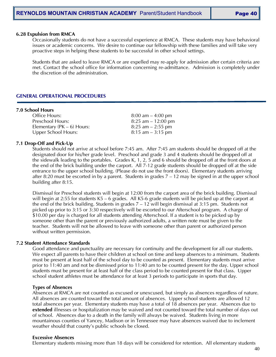#### **6.28 Expulsion from RMCA**

Occasionally students do not have a successful experience at RMCA. These students may have behavioral issues or academic concerns. We desire to continue our fellowship with these families and will take very proactive steps in helping these students to be successful in other school settings.

Students that are asked to leave RMCA or are expelled may re-apply for admission after certain criteria are met. Contact the school office for information concerning re-admittance. Admission is completely under the discretion of the administration.

#### **GENERAL OPERATIONAL PROCEDURES**

#### **7.0 School Hours**

| Office Hours:                  | $8:00$ am $-4:00$ pm  |
|--------------------------------|-----------------------|
| Preschool Hours:               | $8:25$ am $-12:00$ pm |
| Elementary ( $PK - 6$ ) Hours: | $8:25$ am $-2:55$ pm  |
| Upper School Hours:            | $8:15$ am $-3:15$ pm  |

#### **7.1 Drop-Off and Pick-Up**

Students should not arrive at school before 7:45 am. After 7:45 am students should be dropped off at the designated door for his/her grade level. Preschool and grade 3 and 4 students should be dropped off at the sidewalk leading to the portables. Grades K, 1, 2, 5 and 6 should be dropped off at the front doors at the end of the brick building under the carport. All 7-12 grade students should be dropped off at the side entrance to the upper school building. (Please do not use the front doors). Elementary students arriving after 8:20 must be escorted in by a parent. Students in grades 7 – 12 may be signed in at the upper school building after 8:15.

Dismissal for Preschool students will begin at 12:00 from the carport area of the brick building. Dismissal will begin at 2:55 for students K5 – 6 grades. All K5-6 grade students will be picked up at the carport at the end of the brick building. Students in grades 7 – 12 will begin dismissal at 3:15 pm. Students not picked up prior to 3:15 or 3:30 respectively will be escorted to our Afterschool program. A charge of \$10.00 per day is charged for all students attending Afterschool. If a student is to be picked up by someone other than the parent or previously authorized adults, a written note must be given to the teacher. Students will not be allowed to leave with someone other than parent or authorized person without written permission.

#### **7.2 Student Attendance Standards**

Good attendance and punctuality are necessary for continuity and the development for all our students. We expect all parents to have their children at school on time and keep absences to a minimum. Students must be present at least half of the school day to be counted as present. Elementary students must arrive prior to 11:40 am and not be dismissed prior to 11:40 am to be counted present for the day. Upper school students must be present for at least half of the class period to be counted present for that class. Upper school student athletes must be attendance for at least 3 periods to participate in sports that day.

#### **Types of Absences**

Absences at RMCA are not counted as excused or unexcused, but simply as absences regardless of nature. All absences are counted toward the total amount of absences. Upper school students are allowed 12 total absences per year. Elementary students may have a total of 18 absences per year. Absences due to **extended** illnesses or hospitalization may be waived and not counted toward the total number of days out of school. Absences due to a death in the family will always be waived. Students living in more mountainous counties of Yancey, Madison or in Tennessee may have absences waived due to inclement weather should that county's public schools be closed.

#### **Excessive Absences**

Elementary students missing more than 18 days will be considered for retention. All elementary students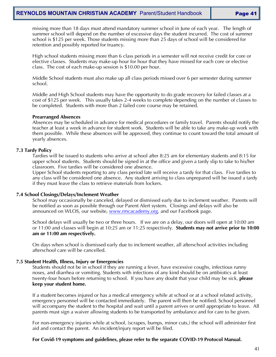missing more than 18 days must attend mandatory summer school in June of each year. The length of summer school will depend on the number of excessive days the student incurred. The cost of summer school is \$125 per week. Those students missing more than 25 days of school will be considered for retention and possibly reported for truancy.

High school students missing more than 6 class periods in a semester will not receive credit for core or elective classes. Students may make-up hour for hour that they have missed for each core or elective class. The cost of each make-up session is \$10.00 per hour.

Middle School students must also make up all class periods missed over 6 per semester during summer school.

Middle and High School students may have the opportunity to do grade recovery for failed classes at a cost of \$125 per week. This usually takes 2-4 weeks to complete depending on the number of classes to be completed. Students with more than 2 failed core course may be retained.

#### **Prearranged Absences**

Absences may be scheduled in advance for medical procedures or family travel. Parents should notify the teacher at least a week in advance for student work. Students will be able to take any make-up work with them possible. While these absences will be approved, they continue to count toward the total amount of yearly absences.

#### **7.3 Tardy Policy**

Tardies will be issued to students who arrive at school after 8:25 am for elementary students and 8:15 for upper school students. Students should be signed in at the office and given a tardy slip to take to his/her classroom. Five tardies will be considered one absence.

Upper School students reporting to any class period late will receive a tardy for that class. Five tardies to any class will be considered one absence. Any student arriving to class unprepared will be issued a tardy if they must leave the class to retrieve materials from lockers.

#### **7.4 School Closings/Delays/Inclement Weather**

School may occasionally be canceled, delayed or dismissed early due to inclement weather. Parents will be notified as soon as possible through our Parent Alert system. Closings and delays will also be announced on WLOS, our website, [www.rmcacademy.org,](http://www.rmcacademy.org/) and our Facebook page.

School delays will usually be two or three hours. If we are on a delay, our doors will open at 10:00 am or 11:00 and classes will begin at 10:25 am or 11:25 respectively. **Students may not arrive prior to 10:00 am or 11:00 am respectively.** 

On days when school is dismissed early due to inclement weather, all afterschool activities including afterschool care will be cancelled.

#### **7.5 Student Health, Illness, Injury or Emergencies**

Students should not be in school if they are running a fever, have excessive coughs, infectious runny noses, and diarrhea or vomiting. Students with infections of any kind should be on antibiotics at least twenty-four hours before returning to school. If you have any doubt that your child may be sick, **please keep your student home.**

If a student becomes injured or has a medical emergency while at school or at a school related activity, emergency personnel will be contacted immediately. The parent will then be notified. School personnel will accompany the student to the hospital and wait until a parent arrives or until appropriate to leave. All parents must sign a waiver allowing students to be transported by ambulance and for care to be given.

For non-emergency injuries while at school, (scrapes, bumps, minor cuts,) the school will administer first aid and contact the parent. An incident/injury report will be filed.

#### **For Covid-19 symptoms and guidelines, please refer to the separate COVID-19 Protocol Manual.**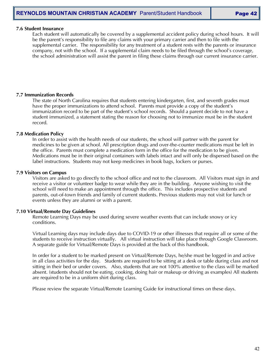#### **7.6 Student Insurance**

Each student will automatically be covered by a supplemental accident policy during school hours. It will be the parent's responsibility to file any claims with your primary carrier and then to file with the supplemental carrier. The responsibility for any treatment of a student rests with the parents or insurance company, not with the school. If a supplemental claim needs to be filed through the school's coverage, the school administration will assist the parent in filing these claims through our current insurance carrier.

#### **7.7 Immunization Records**

The state of North Carolina requires that students entering kindergarten, first, and seventh grades must have the proper immunizations to attend school. Parents must provide a copy of the student's immunization record to be part of the student's school records. Should a parent decide to not have a student immunized, a statement stating the reason for choosing not to immunize must be in the student record.

#### **7.8 Medication Policy**

In order to assist with the health needs of our students, the school will partner with the parent for medicines to be given at school. All prescription drugs and over-the-counter medications must be left in the office. Parents must complete a medication form in the office for the medication to be given. Medications must be in their original containers with labels intact and will only be dispersed based on the label instructions. Students may not keep medicines in book bags, lockers or purses.

#### **7.9 Visitors on Campus**

Visitors are asked to go directly to the school office and not to the classroom. All Visitors must sign in and receive a visitor or volunteer badge to wear while they are in the building. Anyone wishing to visit the school will need to make an appointment through the office. This includes prospective students and parents, out-of-town friends and family of current students. Previous students may not visit for lunch or events unless they are alumni or with a parent.

#### **7.10 Virtual/Remote Day Guidelines**

Remote Learning Days may be used during severe weather events that can include snowy or icy conditions.

Virtual Learning days may include days due to COVID-19 or other illnesses that require all or some of the students to receive instruction virtually. All virtual instruction will take place through Google Classroom. A separate guide for Virtual/Remote Days is provided at the back of this handbook.

In order for a student to be marked present on Virtual/Remote Days, he/she must be logged in and active in all class activities for the day. Students are required to be sitting at a desk or table during class and not sitting in their bed or under covers. Also, students that are not 100% attentive to the class will be marked absent. (students should not be eating, cooking, doing hair or makeup or driving as examples) All students are required to be in a uniform shirt during class.

Please review the separate Virtual/Remote Learning Guide for instructional times on these days.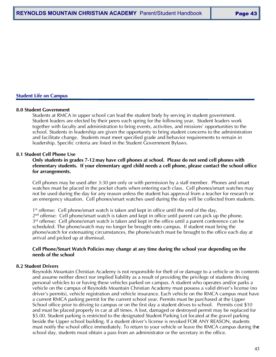#### **Student Life on Campus**

#### **8.0 Student Government**

Students at RMCA in upper school can lead the student body by serving in student government. Student leaders are elected by their peers each spring for the following year. Student leaders work together with faculty and administration to bring events, activities, and missions' opportunities to the school. Students in leadership are given the opportunity to bring student concerns to the administration and facilitate change. Students must meet specified grade and behavior requirements to remain in leadership. Specific criteria are listed in the Student Government Bylaws.

#### **8.1 Student Cell Phone Use**

#### **Only students in grades 7-12 may have cell phones at school. Please do not send cell phones with elementary students. If your elementary aged child needs a cell phone, please contact the school office for arrangements.**

Cell phones may be used after 3:30 pm only or with permission by a staff member. Phones and smart watches must be placed in the pocket charts when entering each class. Cell phones/smart watches may not be used during the day for any reason unless the student has approval from a teacher for research or an emergency situation. Cell phones/smart watches used during the day will be collected from students.

1<sup>st</sup> offense: Cell phone/smart watch is taken and kept in office until the end of the day.  $2<sup>nd</sup>$  offense: Cell phone/smart watch is taken and kept in office until parent can pick up the phone.  $3<sup>rd</sup>$  offense: Cell phone/smart watch is taken and kept in the office until a parent conference can be scheduled. The phone/watch may no longer be brought onto campus. If student must bring the phone/watch for extenuating circumstances, the phone/watch must be brought to the office each day at arrival and picked up at dismissal.

#### **Cell Phone/Smart Watch Policies may change at any time during the school year depending on the needs of the school**

#### **8.2 Student Drivers**

Reynolds Mountain Christian Academy is not responsible for theft of or damage to a vehicle or its contents and assume neither direct nor implied liability as a result of providing the privilege of students driving personal vehicles to or having these vehicles parked on campus. A student who operates and/or parks a vehicle on the campus of Reynolds Mountain Christian Academy must possess a valid driver's license (no driver's permits), vehicle registration and vehicle insurance. Each vehicle on the RMCA campus must have a current RMCA parking permit for the current school year. Permits must be purchased at the Upper School office prior to driving to campus or on the first day a student drives to school. Permits cost \$10 and must be placed properly in car at all times. A lost, damaged or destroyed permit may be replaced for \$5.00. Student parking is restricted to the designated Student Parking Lot located at the gravel parking beside the Upper school building. If a student driver's license is revoked FOR ANY REASON, students must notify the school office immediately. To return to your vehicle or leave the RMCA campus during th**e**  school day, students must obtain a pass from an administrator or the secretary in the office.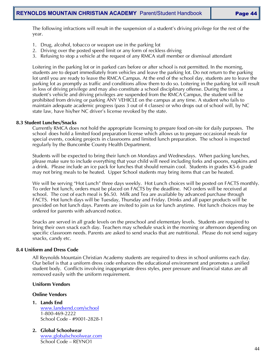The following infractions will result in the suspension of a student's driving privilege for the rest of the year.

- 1. Drug, alcohol, tobacco or weapon use in the parking lot
- 2. Driving over the posted speed limit or any form of reckless driving
- 3. Refusing to stop a vehicle at the request of any RMCA staff member or dismissal attendant

Loitering in the parking lot or in parked cars before or after school is not permitted. In the morning, students are to depart immediately from vehicles and leave the parking lot. Do not return to the parking lot until you are ready to leave the RMCA Campus. At the end of the school day, students are to leave the parking lot as promptly as traffic and conditions allow them to do so. Loitering in the parking lot will result in loss of driving privilege and may also constitute a school disciplinary offense. During the time, a student's vehicle and driving privileges are suspended from the RMCA Campus, the student will be prohibited from driving or parking ANY VEHICLE on the campus at any time. A student who fails to maintain adequate academic progress (pass 3 out of 4 classes) or who drops out of school will, by NC state law, have his/her NC driver's license revoked by the state.

#### **8.3 Student Lunches/Snacks**

Currently RMCA does not hold the appropriate licensing to prepare food on-site for daily purposes. The school does hold a limited food preparation license which allows us to prepare occasional meals for special events, cooking projects in classrooms and limited lunch preparation. The school is inspected regularly by the Buncombe County Health Department.

Students will be expected to bring their lunch on Mondays and Wednesdays. When packing lunches, please make sure to include everything that your child will need including forks and spoons, napkins and a drink. Please include an ice pack for lunches that should remain cool. Students in grades K5-6 grade may not bring meals to be heated. Upper School students may bring items that can be heated.

We will be serving "Hot Lunch" three days weekly. Hot Lunch choices will be posted on FACTS monthly. To order hot lunch, orders must be placed on FACTS by the deadline. NO orders will be received at school. The cost of each meal is \$6.50. Milk and Tea are available by advanced purchase through FACTS. Hot lunch days will be Tuesday, Thursday and Friday. Drinks and all paper products will be provided on hot lunch days. Parents are invited to join us for lunch anytime. Hot lunch choices may be ordered for parents with advanced notice.

Snacks are served in all grade levels on the preschool and elementary levels. Students are required to bring their own snack each day. Teachers may schedule snack in the morning or afternoon depending on specific classroom needs. Parents are asked to send snacks that are nutritional. Please do not send sugary snacks, candy etc.

#### **8.4 Uniform and Dress Code**

All Reynolds Mountain Christian Academy students are required to dress in school uniforms each day. Our belief is that a uniform dress code enhances the educational environment and promotes a unified student body. Conflicts involving inappropriate dress styles, peer pressure and financial status are all removed easily with the uniform requirement.

#### **Uniform Vendors**

# **Online Vendors**

- **1. Lands End** [www.landsend.com/school](http://www.landsend.com/school) 1-800-469-2222 School Code - #9001-2828-1
- **2. Global Schoolwear** [www.globalschoolwear.com](http://www.globalschoolwear.com/) School Code – REYNO1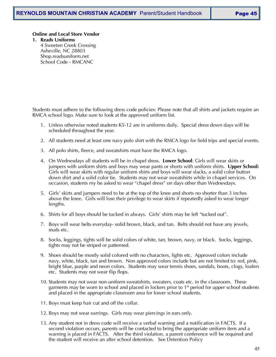#### **Online and Local Store Vendor**

**1. Reads Uniforms** 4 Sweeten Creek Crossing Asheville, NC 28803 Shop.readsuniform.net School Code - RMCANC

Students must adhere to the following dress code policies: Please note that all shirts and jackets require an RMCA school logo. Make sure to look at the approved uniform list.

- 1. Unless otherwise noted students K5-12 are in uniforms daily. Special dress down days will be scheduled throughout the year.
- 2. All students need at least one navy polo shirt with the RMCA logo for field trips and special events.
- 3. All polo shirts, fleece, and sweatshirts must have the RMCA logo.
- 4. On Wednesdays all students will be in chapel dress. **Lower School**: Girls will wear skirts or jumpers with uniform shirts and boys may wear pants or shorts with uniform shirts. **Upper School:**  Girls will wear skirts with regular uniform shirts and boys will wear slacks, a solid color button down shirt and a solid color tie. Students may not wear sweatshirts while in chapel services. On occasion, students my be asked to wear "chapel dress" on days other than Wednesdays.
- 5. Girls' skirts and jumpers need to be at the top of the knee and shorts no shorter than 3 inches above the knee. Girls will lose their privilege to wear skirts if repeatedly asked to wear longer lengths.
- 6. Shirts for all boys should be tucked in always. Girls' shirts may be left "tucked out".
- 7. Boys will wear belts everyday- solid brown, black, and tan. Belts should not have any jewels, studs etc.
- 8. Socks, leggings, tights will be solid colors of white, tan, brown, navy, or black. Socks, leggings, tights may not be striped or patterned.
- 9. Shoes should be mostly solid colored with no characters, lights etc. Approved colors include navy, white, black, tan and brown. Non approved colors include but are not limited to: red, pink, bright blue, purple and neon colors. Students may wear tennis shoes, sandals, boots, clogs, loafers etc. Students may not wear flip flops.
- 10. Students may not wear non-uniform sweatshirts, sweaters, coats etc. in the classroom. These garments may be worn to school and placed in lockers prior to 1<sup>st</sup> period for upper school students and placed in the appropriate classroom area for lower school students.
- 11. Boys must keep hair cut and off the collar.
- 12. Boys may not wear earrings. Girls may wear piercings in ears only.
- 13. Any student not in dress code will receive a verbal warning and a notification in FACTS. If a second violation occurs, parents will be contacted to bring the appropriate uniform item and a warning is placed in FACTS. After the third violation, a parent conference will be required and the student will receive an after school detention. See Detention Policy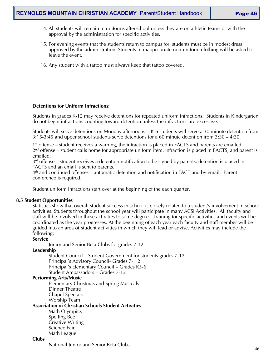- 14. All students will remain in uniforms afterschool unless they are on athletic teams or with the approval by the administration for specific activities**.**
- 15. For evening events that the students return to campus for, students must be in modest dress approved by the administration. Students in inappropriate non-uniform clothing will be asked to leave the event.
- 16. Any student with a tattoo must always keep that tattoo covered.

#### **Detentions for Uniform Infractions:**

Students in grades K-12 may receive detentions for repeated uniform infractions. Students in Kindergarten do not begin infractions counting toward detention unless the infractions are excessive.

Students will serve detentions on Monday afternoons. K-6 students will serve a 30 minute detention from 3:15-3:45 and upper school students serve detentions for a 60 minute detention from 3:30 – 4:30.

1st offense – student receives a warning, the infraction is placed in FACTS and parents are emailed.  $2<sup>nd</sup>$  offense – student calls home for appropriate uniform item, infraction is placed in FACTS, and parent is emailed.

 $3<sup>rd</sup>$  offense – student receives a detention notification to be signed by parents, detention is placed in FACTS and an email is sent to parents.

4th and continued offenses – automatic detention and notification in FACT and by email. Parent conference is required.

Student uniform infractions start over at the beginning of the each quarter.

#### **8.5 Student Opportunities**

Statistics show that overall student success in school is closely related to a student's involvement in school activities. Students throughout the school year will participate in many ACSI Activities. All faculty and staff will be involved in these activities to some degree. Training for specific activities and events will be coordinated as the year progresses. At the beginning of each year each faculty and staff member will be guided into an area of student activities in which they will lead or advise. Activities may include the following:

#### **Service**

Junior and Senior Beta Clubs for grades 7-12

#### **Leadership**

Student Council – Student Government for students grades 7-12 Principal's Advisory Council- Grades 7- 12 Principal's Elementary Council – Grades K5-6 Student Ambassadors – Grades 7-12

# **Performing Arts/Music**

Elementary Christmas and Spring Musicals Dinner Theatre Chapel Specials Worship Team

**Association of Christian Schools Student Activities**

Math Olympics Spelling Bee Creative Writing Science Fair Math League

#### **Clubs**

National Junior and Senior Beta Clubs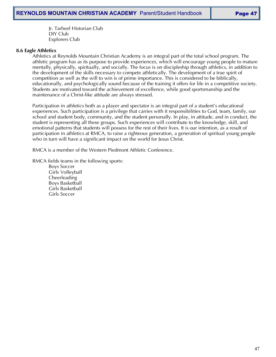Jr. Tarheel Historian Club DIY Club Explorers Club

#### **8.6 Eagle Athletics**

Athletics at Reynolds Mountain Christian Academy is an integral part of the total school program. The athletic program has as its purpose to provide experiences, which will encourage young people to mature mentally, physically, spiritually, and socially. The focus is on discipleship through athletics, in addition to the development of the skills necessary to compete athletically. The development of a true spirit of competition as well as the will to win is of prime importance. This is considered to be biblically, educationally, and psychologically sound because of the training it offers for life in a competitive society. Students are motivated toward the achievement of excellence, while good sportsmanship and the maintenance of a Christ-like attitude are always stressed.

Participation in athletics both as a player and spectator is an integral part of a student's educational experiences. Such participation is a privilege that carries with it responsibilities to God, team, family, our school and student body, community, and the student personally. In play, in attitude, and in conduct, the student is representing all these groups. Such experiences will contribute to the knowledge, skill, and emotional patterns that students will possess for the rest of their lives. It is our intention, as a result of participation in athletics at RMCA, to raise a righteous generation, a generation of spiritual young people who in turn will have a significant impact on the world for Jesus Christ.

RMCA is a member of the Western Piedmont Athletic Conference.

RMCA fields teams in the following sports:

Boys Soccer Girls Volleyball Cheerleading Boys Basketball Girls Basketball Girls Soccer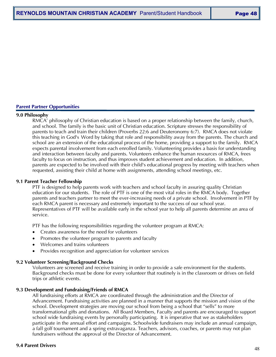#### **Parent Partner Opportunities**

#### **9.0 Philosophy**

RMCA' philosophy of Christian education is based on a proper relationship between the family, church, and school. The family is the basic unit of Christian education. Scripture stresses the responsibility of parents to teach and train their children (Proverbs 22:6 and Deuteronomy 6:7). RMCA does not violate this teaching in God's Word by taking that role and responsibility away from the parents. The church and school are an extension of the educational process of the home, providing a support to the family. RMCA expects parental involvement from each enrolled family. Volunteering provides a basis for understanding and interaction between faculty and parents. Volunteers enhance the human resources of RMCA, frees faculty to focus on instruction, and thus improves student achievement and education. In addition, parents are expected to be involved with their child's educational progress by meeting with teachers when requested, assisting their child at home with assignments, attending school meetings, etc.

#### **9.1 Parent Teacher Fellowship**

PTF is designed to help parents work with teachers and school faculty in assuring quality Christian education for our students. The role of PTF is one of the most vital roles in the RMCA body. Together parents and teachers partner to meet the ever-increasing needs of a private school. Involvement in PTF by each RMCA parent is necessary and extremely important to the success of our school year. Representatives of PTF will be available early in the school year to help all parents determine an area of service.

PTF has the following responsibilities regarding the volunteer program at RMCA:

- Creates awareness for the need for volunteers
- Promotes the volunteer program to parents and faculty
- Welcomes and trains volunteers
- Provides recognition and appreciation for volunteer services

#### **9.2 Volunteer Screening/Background Checks**

Volunteers are screened and receive training in order to provide a safe environment for the students. Background checks must be done for every volunteer that routinely is in the classroom or drives on field trips or athletic events.

#### **9.3 Development and Fundraising/Friends of RMCA**

All fundraising efforts at RMCA are coordinated through the administration and the Director of Advancement. Fundraising activities are planned in a manner that supports the mission and vision of the school. Development strategies are moving our school from being a school that "sells" to more transformational gifts and donations. All Board Members, Faculty and parents are encouraged to support school wide fundraising events by personally participating. It is imperative that we as stakeholders participate in the annual effort and campaigns. Schoolwide fundraisers may include an annual campaign, a fall golf tournament and a spring extravaganza. Teachers, advisors, coaches, or parents may not plan fundraisers without the approval of the Director of Advancement.

#### **9.4 Parent Drivers**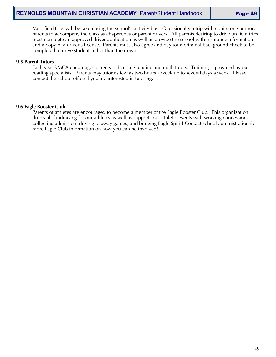Most field trips will be taken using the school's activity bus. Occasionally a trip will require one or more parents to accompany the class as chaperones or parent drivers. All parents desiring to drive on field trips must complete an approved driver application as well as provide the school with insurance information and a copy of a driver's license. Parents must also agree and pay for a criminal background check to be completed to drive students other than their own.

#### **9.5 Parent Tutors**

Each year RMCA encourages parents to become reading and math tutors. Training is provided by our reading specialists. Parents may tutor as few as two hours a week up to several days a week. Please contact the school office if you are interested in tutoring.

#### **9.6 Eagle Booster Club**

Parents of athletes are encouraged to become a member of the Eagle Booster Club. This organization drives all fundraising for our athletes as well as supports our athletic events with working concessions, collecting admission, driving to away games, and bringing Eagle Spirit! Contact school administration for more Eagle Club information on how you can be involved!